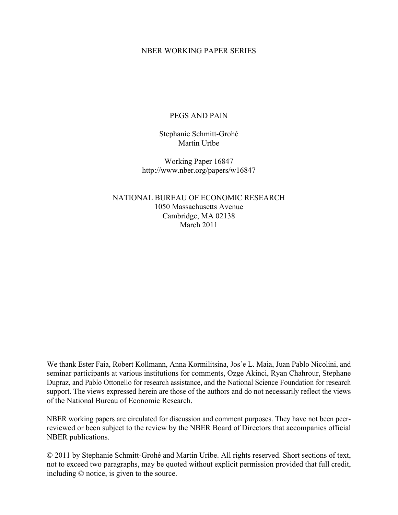#### NBER WORKING PAPER SERIES

### PEGS AND PAIN

Stephanie Schmitt-Grohé Martin Uríbe

Working Paper 16847 http://www.nber.org/papers/w16847

NATIONAL BUREAU OF ECONOMIC RESEARCH 1050 Massachusetts Avenue Cambridge, MA 02138 March 2011

We thank Ester Faia, Robert Kollmann, Anna Kormilitsina, Jos´e L. Maia, Juan Pablo Nicolini, and seminar participants at various institutions for comments, Ozge Akinci, Ryan Chahrour, Stephane Dupraz, and Pablo Ottonello for research assistance, and the National Science Foundation for research support. The views expressed herein are those of the authors and do not necessarily reflect the views of the National Bureau of Economic Research.

NBER working papers are circulated for discussion and comment purposes. They have not been peerreviewed or been subject to the review by the NBER Board of Directors that accompanies official NBER publications.

© 2011 by Stephanie Schmitt-Grohé and Martin Uríbe. All rights reserved. Short sections of text, not to exceed two paragraphs, may be quoted without explicit permission provided that full credit, including © notice, is given to the source.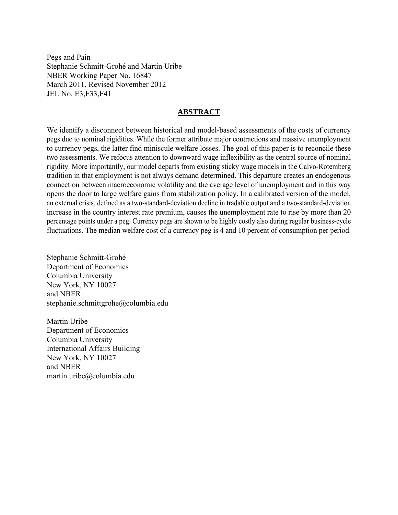Pegs and Pain Stephanie Schmitt-Grohé and Martin Uríbe NBER Working Paper No. 16847 March 2011, Revised November 2012 JEL No. E3,F33,F41

#### **ABSTRACT**

We identify a disconnect between historical and model-based assessments of the costs of currency pegs due to nominal rigidities. While the former attribute major contractions and massive unemployment to currency pegs, the latter find miniscule welfare losses. The goal of this paper is to reconcile these two assessments. We refocus attention to downward wage inflexibility as the central source of nominal rigidity. More importantly, our model departs from existing sticky wage models in the Calvo-Rotemberg tradition in that employment is not always demand determined. This departure creates an endogenous connection between macroeconomic volatility and the average level of unemployment and in this way opens the door to large welfare gains from stabilization policy. In a calibrated version of the model, an external crisis, defined as a two-standard-deviation decline in tradable output and a two-standard-deviation increase in the country interest rate premium, causes the unemployment rate to rise by more than 20 percentage points under a peg. Currency pegs are shown to be highly costly also during regular business-cycle fluctuations. The median welfare cost of a currency peg is 4 and 10 percent of consumption per period.

Stephanie Schmitt-Grohé Department of Economics Columbia University New York, NY 10027 and NBER stephanie.schmittgrohe@columbia.edu

Martin Uríbe Department of Economics Columbia University International Affairs Building New York, NY 10027 and NBER martin.uribe@columbia.edu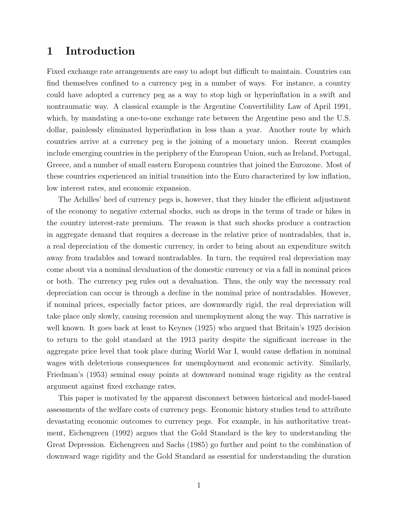## **1 Introduction**

Fixed exchange rate arrangements are easy to adopt but difficult to maintain. Countries can find themselves confined to a currency peg in a number of ways. For instance, a country could have adopted a currency peg as a way to stop high or hyperinflation in a swift and nontraumatic way. A classical example is the Argentine Convertibility Law of April 1991, which, by mandating a one-to-one exchange rate between the Argentine peso and the U.S. dollar, painlessly eliminated hyperinflation in less than a year. Another route by which countries arrive at a currency peg is the joining of a monetary union. Recent examples include emerging countries in the periphery of the European Union, such as Ireland, Portugal, Greece, and a number of small eastern European countries that joined the Eurozone. Most of these countries experienced an initial transition into the Euro characterized by low inflation, low interest rates, and economic expansion.

The Achilles' heel of currency pegs is, however, that they hinder the efficient adjustment of the economy to negative external shocks, such as drops in the terms of trade or hikes in the country interest-rate premium. The reason is that such shocks produce a contraction in aggregate demand that requires a decrease in the relative price of nontradables, that is, a real depreciation of the domestic currency, in order to bring about an expenditure switch away from tradables and toward nontradables. In turn, the required real depreciation may come about via a nominal devaluation of the domestic currency or via a fall in nominal prices or both. The currency peg rules out a devaluation. Thus, the only way the necessary real depreciation can occur is through a decline in the nominal price of nontradables. However, if nominal prices, especially factor prices, are downwardly rigid, the real depreciation will take place only slowly, causing recession and unemployment along the way. This narrative is well known. It goes back at least to Keynes (1925) who argued that Britain's 1925 decision to return to the gold standard at the 1913 parity despite the significant increase in the aggregate price level that took place during World War I, would cause deflation in nominal wages with deleterious consequences for unemployment and economic activity. Similarly, Friedman's (1953) seminal essay points at downward nominal wage rigidity as the central argument against fixed exchange rates.

This paper is motivated by the apparent disconnect between historical and model-based assessments of the welfare costs of currency pegs. Economic history studies tend to attribute devastating economic outcomes to currency pegs. For example, in his authoritative treatment, Eichengreen (1992) argues that the Gold Standard is the key to understanding the Great Depression. Eichengreen and Sachs (1985) go further and point to the combination of downward wage rigidity and the Gold Standard as essential for understanding the duration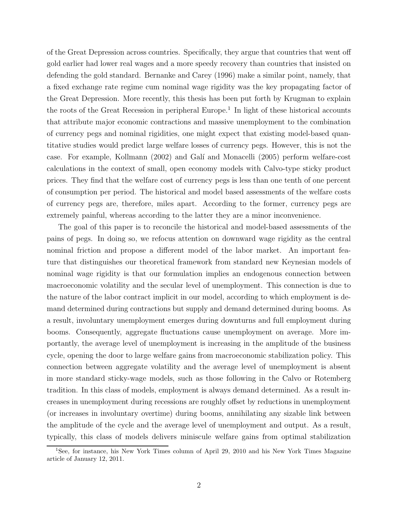of the Great Depression across countries. Specifically, they argue that countries that went off gold earlier had lower real wages and a more speedy recovery than countries that insisted on defending the gold standard. Bernanke and Carey (1996) make a similar point, namely, that a fixed exchange rate regime cum nominal wage rigidity was the key propagating factor of the Great Depression. More recently, this thesis has been put forth by Krugman to explain the roots of the Great Recession in peripheral Europe.<sup>1</sup> In light of these historical accounts that attribute major economic contractions and massive unemployment to the combination of currency pegs and nominal rigidities, one might expect that existing model-based quantitative studies would predict large welfare losses of currency pegs. However, this is not the case. For example, Kollmann (2002) and Gal´ı and Monacelli (2005) perform welfare-cost calculations in the context of small, open economy models with Calvo-type sticky product prices. They find that the welfare cost of currency pegs is less than one tenth of one percent of consumption per period. The historical and model based assessments of the welfare costs of currency pegs are, therefore, miles apart. According to the former, currency pegs are extremely painful, whereas according to the latter they are a minor inconvenience.

The goal of this paper is to reconcile the historical and model-based assessments of the pains of pegs. In doing so, we refocus attention on downward wage rigidity as the central nominal friction and propose a different model of the labor market. An important feature that distinguishes our theoretical framework from standard new Keynesian models of nominal wage rigidity is that our formulation implies an endogenous connection between macroeconomic volatility and the secular level of unemployment. This connection is due to the nature of the labor contract implicit in our model, according to which employment is demand determined during contractions but supply and demand determined during booms. As a result, involuntary unemployment emerges during downturns and full employment during booms. Consequently, aggregate fluctuations cause unemployment on average. More importantly, the average level of unemployment is increasing in the amplitude of the business cycle, opening the door to large welfare gains from macroeconomic stabilization policy. This connection between aggregate volatility and the average level of unemployment is absent in more standard sticky-wage models, such as those following in the Calvo or Rotemberg tradition. In this class of models, employment is always demand determined. As a result increases in unemployment during recessions are roughly offset by reductions in unemployment (or increases in involuntary overtime) during booms, annihilating any sizable link between the amplitude of the cycle and the average level of unemployment and output. As a result, typically, this class of models delivers miniscule welfare gains from optimal stabilization

<sup>&</sup>lt;sup>1</sup>See, for instance, his New York Times column of April 29, 2010 and his New York Times Magazine article of January 12, 2011.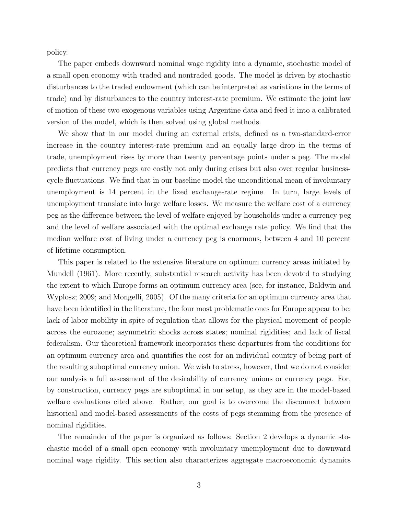policy.

The paper embeds downward nominal wage rigidity into a dynamic, stochastic model of a small open economy with traded and nontraded goods. The model is driven by stochastic disturbances to the traded endowment (which can be interpreted as variations in the terms of trade) and by disturbances to the country interest-rate premium. We estimate the joint law of motion of these two exogenous variables using Argentine data and feed it into a calibrated version of the model, which is then solved using global methods.

We show that in our model during an external crisis, defined as a two-standard-error increase in the country interest-rate premium and an equally large drop in the terms of trade, unemployment rises by more than twenty percentage points under a peg. The model predicts that currency pegs are costly not only during crises but also over regular businesscycle fluctuations. We find that in our baseline model the unconditional mean of involuntary unemployment is 14 percent in the fixed exchange-rate regime. In turn, large levels of unemployment translate into large welfare losses. We measure the welfare cost of a currency peg as the difference between the level of welfare enjoyed by households under a currency peg and the level of welfare associated with the optimal exchange rate policy. We find that the median welfare cost of living under a currency peg is enormous, between 4 and 10 percent of lifetime consumption.

This paper is related to the extensive literature on optimum currency areas initiated by Mundell (1961). More recently, substantial research activity has been devoted to studying the extent to which Europe forms an optimum currency area (see, for instance, Baldwin and Wyplosz; 2009; and Mongelli, 2005). Of the many criteria for an optimum currency area that have been identified in the literature, the four most problematic ones for Europe appear to be: lack of labor mobility in spite of regulation that allows for the physical movement of people across the eurozone; asymmetric shocks across states; nominal rigidities; and lack of fiscal federalism. Our theoretical framework incorporates these departures from the conditions for an optimum currency area and quantifies the cost for an individual country of being part of the resulting suboptimal currency union. We wish to stress, however, that we do not consider our analysis a full assessment of the desirability of currency unions or currency pegs. For, by construction, currency pegs are suboptimal in our setup, as they are in the model-based welfare evaluations cited above. Rather, our goal is to overcome the disconnect between historical and model-based assessments of the costs of pegs stemming from the presence of nominal rigidities.

The remainder of the paper is organized as follows: Section 2 develops a dynamic stochastic model of a small open economy with involuntary unemployment due to downward nominal wage rigidity. This section also characterizes aggregate macroeconomic dynamics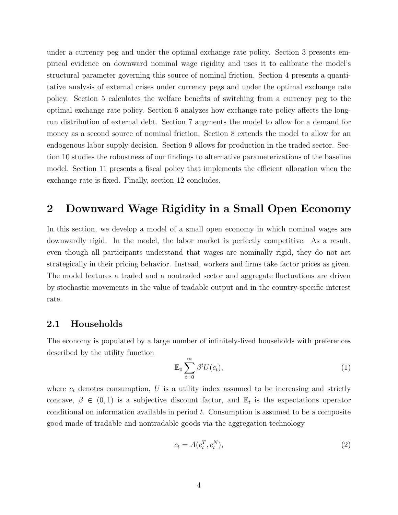under a currency peg and under the optimal exchange rate policy. Section 3 presents empirical evidence on downward nominal wage rigidity and uses it to calibrate the model's structural parameter governing this source of nominal friction. Section 4 presents a quantitative analysis of external crises under currency pegs and under the optimal exchange rate policy. Section 5 calculates the welfare benefits of switching from a currency peg to the optimal exchange rate policy. Section 6 analyzes how exchange rate policy affects the longrun distribution of external debt. Section 7 augments the model to allow for a demand for money as a second source of nominal friction. Section 8 extends the model to allow for an endogenous labor supply decision. Section 9 allows for production in the traded sector. Section 10 studies the robustness of our findings to alternative parameterizations of the baseline model. Section 11 presents a fiscal policy that implements the efficient allocation when the exchange rate is fixed. Finally, section 12 concludes.

# **2 Downward Wage Rigidity in a Small Open Economy**

In this section, we develop a model of a small open economy in which nominal wages are downwardly rigid. In the model, the labor market is perfectly competitive. As a result, even though all participants understand that wages are nominally rigid, they do not act strategically in their pricing behavior. Instead, workers and firms take factor prices as given. The model features a traded and a nontraded sector and aggregate fluctuations are driven by stochastic movements in the value of tradable output and in the country-specific interest rate.

### **2.1 Households**

The economy is populated by a large number of infinitely-lived households with preferences described by the utility function

$$
\mathbb{E}_0 \sum_{t=0}^{\infty} \beta^t U(c_t),\tag{1}
$$

where  $c_t$  denotes consumption,  $U$  is a utility index assumed to be increasing and strictly concave,  $\beta \in (0,1)$  is a subjective discount factor, and  $\mathbb{E}_t$  is the expectations operator conditional on information available in period *t*. Consumption is assumed to be a composite good made of tradable and nontradable goods via the aggregation technology

$$
c_t = A(c_t^T, c_t^N),\tag{2}
$$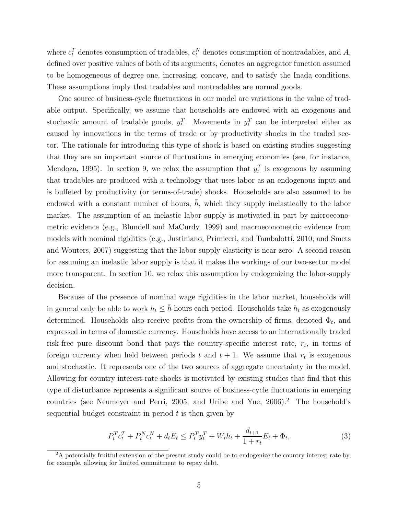where  $c_t^T$  denotes consumption of tradables,  $c_t^N$  denotes consumption of nontradables, and *A*, defined over positive values of both of its arguments, denotes an aggregator function assumed to be homogeneous of degree one, increasing, concave, and to satisfy the Inada conditions. These assumptions imply that tradables and nontradables are normal goods.

One source of business-cycle fluctuations in our model are variations in the value of tradable output. Specifically, we assume that households are endowed with an exogenous and stochastic amount of tradable goods,  $y_t^T$ . Movements in  $y_t^T$  can be interpreted either as caused by innovations in the terms of trade or by productivity shocks in the traded sector. The rationale for introducing this type of shock is based on existing studies suggesting that they are an important source of fluctuations in emerging economies (see, for instance, Mendoza, 1995). In section 9, we relax the assumption that  $y_t^T$  is exogenous by assuming that tradables are produced with a technology that uses labor as an endogenous input and is buffeted by productivity (or terms-of-trade) shocks. Households are also assumed to be endowed with a constant number of hours,  $h$ , which they supply inelastically to the labor market. The assumption of an inelastic labor supply is motivated in part by microeconometric evidence (e.g., Blundell and MaCurdy, 1999) and macroeconometric evidence from models with nominal rigidities (e.g., Justiniano, Primiceri, and Tambalotti, 2010; and Smets and Wouters, 2007) suggesting that the labor supply elasticity is near zero. A second reason for assuming an inelastic labor supply is that it makes the workings of our two-sector model more transparent. In section 10, we relax this assumption by endogenizing the labor-supply decision.

Because of the presence of nominal wage rigidities in the labor market, households will in general only be able to work  $h_t \leq \bar{h}$  hours each period. Households take  $h_t$  as exogenously determined. Households also receive profits from the ownership of firms, denoted  $\Phi_t$ , and expressed in terms of domestic currency. Households have access to an internationally traded risk-free pure discount bond that pays the country-specific interest rate,  $r_t$ , in terms of foreign currency when held between periods  $t$  and  $t + 1$ . We assume that  $r_t$  is exogenous and stochastic. It represents one of the two sources of aggregate uncertainty in the model. Allowing for country interest-rate shocks is motivated by existing studies that find that this type of disturbance represents a significant source of business-cycle fluctuations in emerging countries (see Neumeyer and Perri, 2005; and Uribe and Yue, 2006).<sup>2</sup> The household's sequential budget constraint in period *t* is then given by

$$
P_t^T c_t^T + P_t^N c_t^N + d_t E_t \le P_t^T y_t^T + W_t h_t + \frac{d_{t+1}}{1 + r_t} E_t + \Phi_t,
$$
\n(3)

 $2A$  potentially fruitful extension of the present study could be to endogenize the country interest rate by, for example, allowing for limited commitment to repay debt.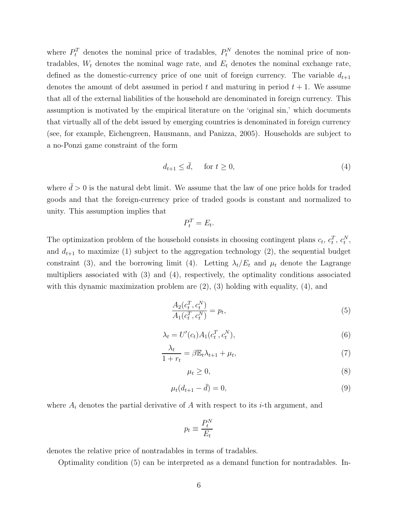where  $P_t^T$  denotes the nominal price of tradables,  $P_t^N$  denotes the nominal price of nontradables,  $W_t$  denotes the nominal wage rate, and  $E_t$  denotes the nominal exchange rate, defined as the domestic-currency price of one unit of foreign currency. The variable  $d_{t+1}$ denotes the amount of debt assumed in period  $t$  and maturing in period  $t + 1$ . We assume that all of the external liabilities of the household are denominated in foreign currency. This assumption is motivated by the empirical literature on the 'original sin,' which documents that virtually all of the debt issued by emerging countries is denominated in foreign currency (see, for example, Eichengreen, Hausmann, and Panizza, 2005). Households are subject to a no-Ponzi game constraint of the form

$$
d_{t+1} \le \bar{d}, \quad \text{ for } t \ge 0,
$$
\n<sup>(4)</sup>

where  $\bar{d} > 0$  is the natural debt limit. We assume that the law of one price holds for traded goods and that the foreign-currency price of traded goods is constant and normalized to unity. This assumption implies that

$$
P_t^T = E_t.
$$

The optimization problem of the household consists in choosing contingent plans  $c_t$ ,  $c_t^T$ ,  $c_t^N$ , and  $d_{t+1}$  to maximize (1) subject to the aggregation technology (2), the sequential budget constraint (3), and the borrowing limit (4). Letting  $\lambda_t/E_t$  and  $\mu_t$  denote the Lagrange multipliers associated with (3) and (4), respectively, the optimality conditions associated with this dynamic maximization problem are  $(2)$ ,  $(3)$  holding with equality,  $(4)$ , and

$$
\frac{A_2(c_t^T, c_t^N)}{A_1(c_t^T, c_t^N)} = p_t,\tag{5}
$$

$$
\lambda_t = U'(c_t) A_1(c_t^T, c_t^N),\tag{6}
$$

$$
\frac{\lambda_t}{1+r_t} = \beta \mathbb{E}_t \lambda_{t+1} + \mu_t,\tag{7}
$$

$$
\mu_t \ge 0,\tag{8}
$$

$$
\mu_t(d_{t+1} - \bar{d}) = 0,\t\t(9)
$$

where  $A_i$  denotes the partial derivative of  $A$  with respect to its  $i$ -th argument, and

$$
p_t \equiv \frac{P_t^N}{E_t}
$$

denotes the relative price of nontradables in terms of tradables.

Optimality condition (5) can be interpreted as a demand function for nontradables. In-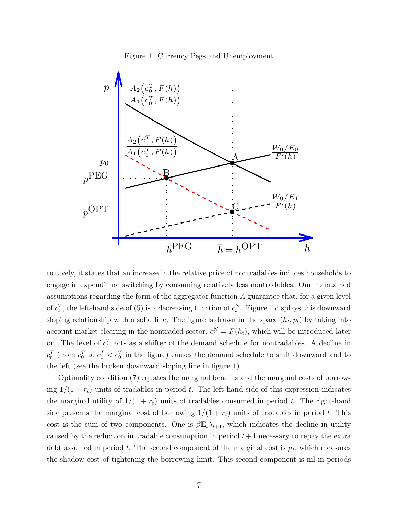Figure 1: Currency Pegs and Unemployment



tuitively, it states that an increase in the relative price of nontradables induces households to engage in expenditure switching by consuming relatively less nontradables. Our maintained assumptions regarding the form of the aggregator function *A* guarantee that, for a given level of  $c_t^T$ , the left-hand side of (5) is a decreasing function of  $c_t^N$ . Figure 1 displays this downward sloping relationship with a solid line. The figure is drawn in the space  $(h_t, p_t)$  by taking into account market clearing in the nontraded sector,  $c_t^N = F(h_t)$ , which will be introduced later on. The level of  $c_t^T$  acts as a shifter of the demand schedule for nontradables. A decline in  $c_t^T$  (from  $c_0^T$  to  $c_1^T < c_0^T$ ) in the figure) causes the demand schedule to shift downward and to the left (see the broken downward sloping line in figure 1).

Optimality condition (7) equates the marginal benefits and the marginal costs of borrowing  $1/(1 + r_t)$  units of tradables in period *t*. The left-hand side of this expression indicates the marginal utility of  $1/(1 + r_t)$  units of tradables consumed in period *t*. The right-hand side presents the marginal cost of borrowing  $1/(1 + r_t)$  units of tradables in period t. This cost is the sum of two components. One is  $\beta \mathbb{E}_t \lambda_{t+1}$ , which indicates the decline in utility caused by the reduction in tradable consumption in period  $t+1$  necessary to repay the extra debt assumed in period  $t$ . The second component of the marginal cost is  $\mu_t$ , which measures the shadow cost of tightening the borrowing limit. This second component is nil in periods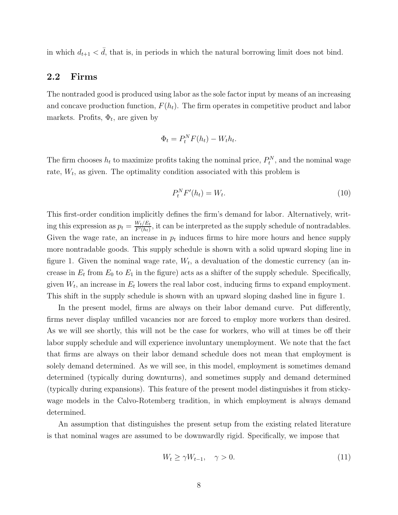in which  $d_{t+1} < d$ , that is, in periods in which the natural borrowing limit does not bind.

### **2.2 Firms**

The nontraded good is produced using labor as the sole factor input by means of an increasing and concave production function,  $F(h_t)$ . The firm operates in competitive product and labor markets. Profits,  $\Phi_t$ , are given by

$$
\Phi_t = P_t^N F(h_t) - W_t h_t.
$$

The firm chooses  $h_t$  to maximize profits taking the nominal price,  $P_t^N$ , and the nominal wage rate,  $W_t$ , as given. The optimality condition associated with this problem is

$$
P_t^N F'(h_t) = W_t. \tag{10}
$$

This first-order condition implicitly defines the firm's demand for labor. Alternatively, writing this expression as  $p_t = \frac{W_t/E_t}{F'(h_t)}$ , it can be interpreted as the supply schedule of nontradables. Given the wage rate, an increase in  $p_t$  induces firms to hire more hours and hence supply more nontradable goods. This supply schedule is shown with a solid upward sloping line in figure 1. Given the nominal wage rate,  $W_t$ , a devaluation of the domestic currency (an increase in  $E_t$  from  $E_0$  to  $E_1$  in the figure) acts as a shifter of the supply schedule. Specifically, given  $W_t$ , an increase in  $E_t$  lowers the real labor cost, inducing firms to expand employment. This shift in the supply schedule is shown with an upward sloping dashed line in figure 1.

In the present model, firms are always on their labor demand curve. Put differently, firms never display unfilled vacancies nor are forced to employ more workers than desired. As we will see shortly, this will not be the case for workers, who will at times be off their labor supply schedule and will experience involuntary unemployment. We note that the fact that firms are always on their labor demand schedule does not mean that employment is solely demand determined. As we will see, in this model, employment is sometimes demand determined (typically during downturns), and sometimes supply and demand determined (typically during expansions). This feature of the present model distinguishes it from stickywage models in the Calvo-Rotemberg tradition, in which employment is always demand determined.

An assumption that distinguishes the present setup from the existing related literature is that nominal wages are assumed to be downwardly rigid. Specifically, we impose that

$$
W_t \ge \gamma W_{t-1}, \quad \gamma > 0. \tag{11}
$$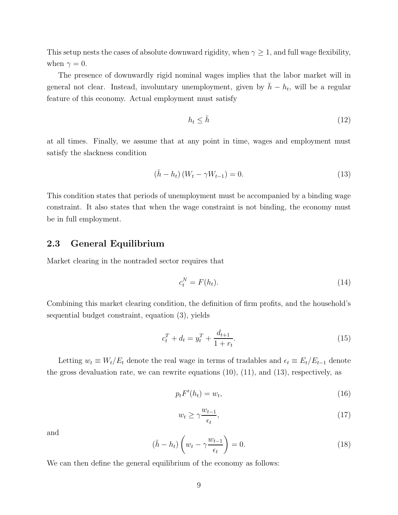This setup nests the cases of absolute downward rigidity, when  $\gamma \geq 1$ , and full wage flexibility, when  $\gamma = 0$ .

The presence of downwardly rigid nominal wages implies that the labor market will in general not clear. Instead, involuntary unemployment, given by  $\bar{h} - h_t$ , will be a regular feature of this economy. Actual employment must satisfy

$$
h_t \le \bar{h} \tag{12}
$$

at all times. Finally, we assume that at any point in time, wages and employment must satisfy the slackness condition

$$
(\bar{h} - h_t) (W_t - \gamma W_{t-1}) = 0.
$$
\n(13)

This condition states that periods of unemployment must be accompanied by a binding wage constraint. It also states that when the wage constraint is not binding, the economy must be in full employment.

#### **2.3 General Equilibrium**

Market clearing in the nontraded sector requires that

$$
c_t^N = F(h_t). \tag{14}
$$

Combining this market clearing condition, the definition of firm profits, and the household's sequential budget constraint, equation (3), yields

$$
c_t^T + d_t = y_t^T + \frac{d_{t+1}}{1 + r_t}.\tag{15}
$$

Letting  $w_t \equiv W_t/E_t$  denote the real wage in terms of tradables and  $\epsilon_t \equiv E_t/E_{t-1}$  denote the gross devaluation rate, we can rewrite equations  $(10)$ ,  $(11)$ , and  $(13)$ , respectively, as

$$
p_t F'(h_t) = w_t,\tag{16}
$$

$$
w_t \ge \gamma \frac{w_{t-1}}{\epsilon_t},\tag{17}
$$

and

$$
(\bar{h} - h_t) \left( w_t - \gamma \frac{w_{t-1}}{\epsilon_t} \right) = 0.
$$
\n(18)

We can then define the general equilibrium of the economy as follows: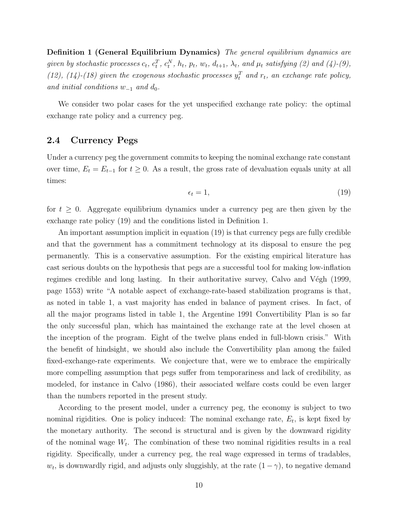**Definition 1 (General Equilibrium Dynamics)** *The general equilibrium dynamics are* given by stochastic processes  $c_t$ ,  $c_t^T$ ,  $c_t^N$ ,  $h_t$ ,  $p_t$ ,  $w_t$ ,  $d_{t+1}$ ,  $\lambda_t$ , and  $\mu_t$  satisfying (2) and (4)-(9), (12), (14)-(18) given the exogenous stochastic processes  $y_t^T$  and  $r_t$ , an exchange rate policy, *and initial conditions*  $w_{-1}$  *and*  $d_0$ *.* 

We consider two polar cases for the yet unspecified exchange rate policy: the optimal exchange rate policy and a currency peg.

### **2.4 Currency Pegs**

Under a currency peg the government commits to keeping the nominal exchange rate constant over time,  $E_t = E_{t-1}$  for  $t \geq 0$ . As a result, the gross rate of devaluation equals unity at all times:

$$
\epsilon_t = 1,\tag{19}
$$

for  $t \geq 0$ . Aggregate equilibrium dynamics under a currency peg are then given by the exchange rate policy (19) and the conditions listed in Definition 1.

An important assumption implicit in equation (19) is that currency pegs are fully credible and that the government has a commitment technology at its disposal to ensure the peg permanently. This is a conservative assumption. For the existing empirical literature has cast serious doubts on the hypothesis that pegs are a successful tool for making low-inflation regimes credible and long lasting. In their authoritative survey, Calvo and Végh  $(1999,$ page 1553) write "A notable aspect of exchange-rate-based stabilization programs is that, as noted in table 1, a vast majority has ended in balance of payment crises. In fact, of all the major programs listed in table 1, the Argentine 1991 Convertibility Plan is so far the only successful plan, which has maintained the exchange rate at the level chosen at the inception of the program. Eight of the twelve plans ended in full-blown crisis." With the benefit of hindsight, we should also include the Convertibility plan among the failed fixed-exchange-rate experiments. We conjecture that, were we to embrace the empirically more compelling assumption that pegs suffer from temporariness and lack of credibility, as modeled, for instance in Calvo (1986), their associated welfare costs could be even larger than the numbers reported in the present study.

According to the present model, under a currency peg, the economy is subject to two nominal rigidities. One is policy induced: The nominal exchange rate,  $E_t$ , is kept fixed by the monetary authority. The second is structural and is given by the downward rigidity of the nominal wage  $W_t$ . The combination of these two nominal rigidities results in a real rigidity. Specifically, under a currency peg, the real wage expressed in terms of tradables,  $w_t$ , is downwardly rigid, and adjusts only sluggishly, at the rate  $(1 - \gamma)$ , to negative demand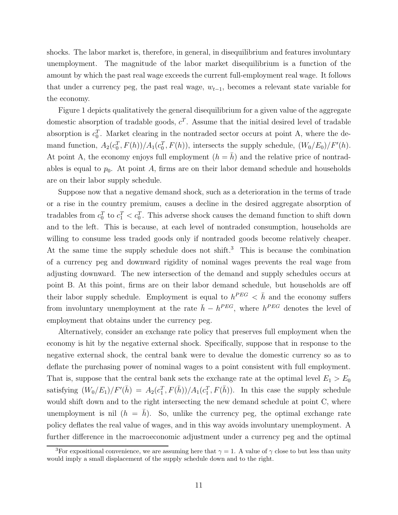shocks. The labor market is, therefore, in general, in disequilibrium and features involuntary unemployment. The magnitude of the labor market disequilibrium is a function of the amount by which the past real wage exceeds the current full-employment real wage. It follows that under a currency peg, the past real wage,  $w_{t-1}$ , becomes a relevant state variable for the economy.

Figure 1 depicts qualitatively the general disequilibrium for a given value of the aggregate domestic absorption of tradable goods,  $c^T$ . Assume that the initial desired level of tradable absorption is  $c_0^T$ . Market clearing in the nontraded sector occurs at point A, where the demand function,  $A_2(c_0^T, F(h))/A_1(c_0^T, F(h))$ , intersects the supply schedule,  $(W_0/E_0)/F'(h)$ . At point A, the economy enjoys full employment  $(h = \overline{h})$  and the relative price of nontradables is equal to  $p_0$ . At point A, firms are on their labor demand schedule and households are on their labor supply schedule.

Suppose now that a negative demand shock, such as a deterioration in the terms of trade or a rise in the country premium, causes a decline in the desired aggregate absorption of tradables from  $c_0^T$  to  $c_1^T < c_0^T$ . This adverse shock causes the demand function to shift down and to the left. This is because, at each level of nontraded consumption, households are willing to consume less traded goods only if nontraded goods become relatively cheaper. At the same time the supply schedule does not shift.<sup>3</sup> This is because the combination of a currency peg and downward rigidity of nominal wages prevents the real wage from adjusting downward. The new intersection of the demand and supply schedules occurs at point B. At this point, firms are on their labor demand schedule, but households are off their labor supply schedule. Employment is equal to  $h^{PEG} < \bar{h}$  and the economy suffers from involuntary unemployment at the rate  $\bar{h} - h^{PEG}$ , where  $h^{PEG}$  denotes the level of employment that obtains under the currency peg.

Alternatively, consider an exchange rate policy that preserves full employment when the economy is hit by the negative external shock. Specifically, suppose that in response to the negative external shock, the central bank were to devalue the domestic currency so as to deflate the purchasing power of nominal wages to a point consistent with full employment. That is, suppose that the central bank sets the exchange rate at the optimal level  $E_1 > E_0$ satisfying  $(W_0/E_1)/F'(\bar{h}) = A_2(c_1^T, F(\bar{h}))/A_1(c_1^T, F(\bar{h}))$ . In this case the supply schedule would shift down and to the right intersecting the new demand schedule at point C, where unemployment is nil  $(h = \bar{h})$ . So, unlike the currency peg, the optimal exchange rate policy deflates the real value of wages, and in this way avoids involuntary unemployment. A further difference in the macroeconomic adjustment under a currency peg and the optimal

<sup>&</sup>lt;sup>3</sup>For expositional convenience, we are assuming here that  $\gamma = 1$ . A value of  $\gamma$  close to but less than unity would imply a small displacement of the supply schedule down and to the right.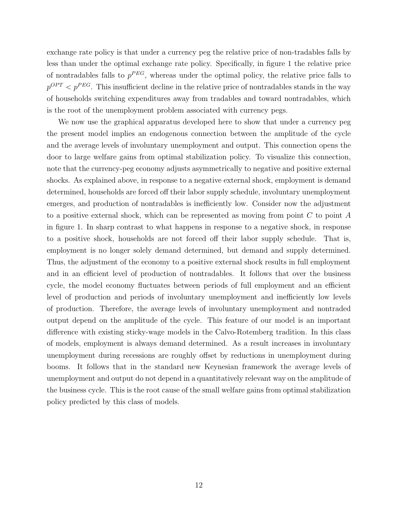exchange rate policy is that under a currency peg the relative price of non-tradables falls by less than under the optimal exchange rate policy. Specifically, in figure 1 the relative price of nontradables falls to  $p^{PEG}$ , whereas under the optimal policy, the relative price falls to  $p^{OPT}$  *<*  $p^{PEG}$ *.* This insufficient decline in the relative price of nontradables stands in the way of households switching expenditures away from tradables and toward nontradables, which is the root of the unemployment problem associated with currency pegs.

We now use the graphical apparatus developed here to show that under a currency peg the present model implies an endogenous connection between the amplitude of the cycle and the average levels of involuntary unemployment and output. This connection opens the door to large welfare gains from optimal stabilization policy. To visualize this connection, note that the currency-peg economy adjusts asymmetrically to negative and positive external shocks. As explained above, in response to a negative external shock, employment is demand determined, households are forced off their labor supply schedule, involuntary unemployment emerges, and production of nontradables is inefficiently low. Consider now the adjustment to a positive external shock, which can be represented as moving from point *C* to point *A* in figure 1. In sharp contrast to what happens in response to a negative shock, in response to a positive shock, households are not forced off their labor supply schedule. That is, employment is no longer solely demand determined, but demand and supply determined. Thus, the adjustment of the economy to a positive external shock results in full employment and in an efficient level of production of nontradables. It follows that over the business cycle, the model economy fluctuates between periods of full employment and an efficient level of production and periods of involuntary unemployment and inefficiently low levels of production. Therefore, the average levels of involuntary unemployment and nontraded output depend on the amplitude of the cycle. This feature of our model is an important difference with existing sticky-wage models in the Calvo-Rotemberg tradition. In this class of models, employment is always demand determined. As a result increases in involuntary unemployment during recessions are roughly offset by reductions in unemployment during booms. It follows that in the standard new Keynesian framework the average levels of unemployment and output do not depend in a quantitatively relevant way on the amplitude of the business cycle. This is the root cause of the small welfare gains from optimal stabilization policy predicted by this class of models.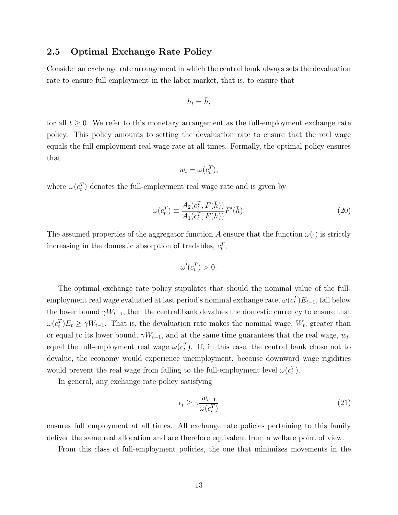### **2.5 Optimal Exchange Rate Policy**

Consider an exchange rate arrangement in which the central bank always sets the devaluation rate to ensure full employment in the labor market, that is, to ensure that

$$
h_t = \bar{h},
$$

for all  $t \geq 0$ . We refer to this monetary arrangement as the full-employment exchange rate policy. This policy amounts to setting the devaluation rate to ensure that the real wage equals the full-employment real wage rate at all times. Formally, the optimal policy ensures that

$$
w_t = \omega(c_t^T),
$$

where  $\omega(c_t^T)$  denotes the full-employment real wage rate and is given by

$$
\omega(c_t^T) \equiv \frac{A_2(c_t^T, F(\bar{h}))}{A_1(c_t^T, F(\bar{h}))} F'(\bar{h}).
$$
\n(20)

The assumed properties of the aggregator function *A* ensure that the function  $\omega(\cdot)$  is strictly increasing in the domestic absorption of tradables,  $c_t^T$ ,

$$
\omega'(c_t^T) > 0.
$$

The optimal exchange rate policy stipulates that should the nominal value of the fullemployment real wage evaluated at last period's nominal exchange rate,  $\omega(c_t^T) E_{t-1}$ , fall below the lower bound  $\gamma W_{t-1}$ , then the central bank devalues the domestic currency to ensure that  $\omega(c_t^T)E_t \ge \gamma W_{t-1}$ . That is, the devaluation rate makes the nominal wage,  $W_t$ , greater than or equal to its lower bound,  $\gamma W_{t-1}$ , and at the same time guarantees that the real wage,  $w_t$ , equal the full-employment real wage  $\omega(c_t^T)$ . If, in this case, the central bank chose not to devalue, the economy would experience unemployment, because downward wage rigidities would prevent the real wage from falling to the full-employment level  $\omega(c_t^T)$ .

In general, any exchange rate policy satisfying

$$
\epsilon_t \ge \gamma \frac{w_{t-1}}{\omega(c_t^T)}\tag{21}
$$

ensures full employment at all times. All exchange rate policies pertaining to this family deliver the same real allocation and are therefore equivalent from a welfare point of view.

From this class of full-employment policies, the one that minimizes movements in the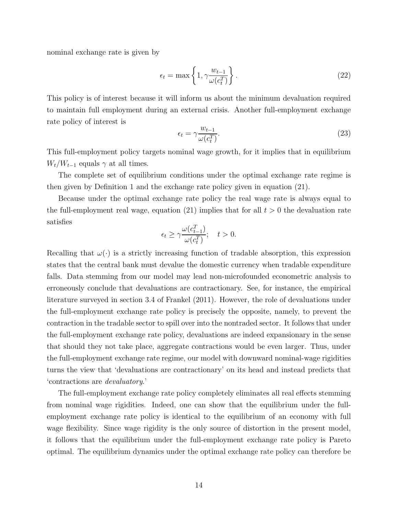nominal exchange rate is given by

$$
\epsilon_t = \max\left\{1, \gamma \frac{w_{t-1}}{\omega(c_t^T)}\right\}.
$$
\n(22)

This policy is of interest because it will inform us about the minimum devaluation required to maintain full employment during an external crisis. Another full-employment exchange rate policy of interest is

$$
\epsilon_t = \gamma \frac{w_{t-1}}{\omega(c_t^T)}.\tag{23}
$$

This full-employment policy targets nominal wage growth, for it implies that in equilibrium  $W_t/W_{t-1}$  equals  $\gamma$  at all times.

The complete set of equilibrium conditions under the optimal exchange rate regime is then given by Definition 1 and the exchange rate policy given in equation (21).

Because under the optimal exchange rate policy the real wage rate is always equal to the full-employment real wage, equation  $(21)$  implies that for all  $t > 0$  the devaluation rate satisfies

$$
\epsilon_t \ge \gamma \frac{\omega(c_{t-1}^T)}{\omega(c_t^T)}; \quad t > 0.
$$

Recalling that  $\omega(\cdot)$  is a strictly increasing function of tradable absorption, this expression states that the central bank must devalue the domestic currency when tradable expenditure falls. Data stemming from our model may lead non-microfounded econometric analysis to erroneously conclude that devaluations are contractionary. See, for instance, the empirical literature surveyed in section 3.4 of Frankel (2011). However, the role of devaluations under the full-employment exchange rate policy is precisely the opposite, namely, to prevent the contraction in the tradable sector to spill over into the nontraded sector. It follows that under the full-employment exchange rate policy, devaluations are indeed expansionary in the sense that should they not take place, aggregate contractions would be even larger. Thus, under the full-employment exchange rate regime, our model with downward nominal-wage rigidities turns the view that 'devaluations are contractionary' on its head and instead predicts that 'contractions are *devaluatory*.'

The full-employment exchange rate policy completely eliminates all real effects stemming from nominal wage rigidities. Indeed, one can show that the equilibrium under the fullemployment exchange rate policy is identical to the equilibrium of an economy with full wage flexibility. Since wage rigidity is the only source of distortion in the present model, it follows that the equilibrium under the full-employment exchange rate policy is Pareto optimal. The equilibrium dynamics under the optimal exchange rate policy can therefore be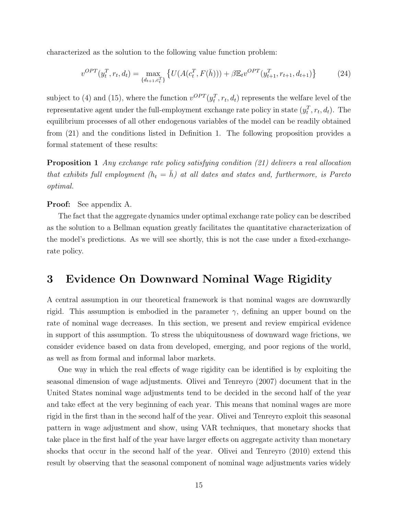characterized as the solution to the following value function problem:

$$
v^{OPT}(y_t^T, r_t, d_t) = \max_{\{d_{t+1}, c_t^T\}} \left\{ U(A(c_t^T, F(\bar{h}))) + \beta \mathbb{E}_t v^{OPT}(y_{t+1}^T, r_{t+1}, d_{t+1}) \right\}
$$
(24)

subject to (4) and (15), where the function  $v^{OPT}(y_t^T, r_t, d_t)$  represents the welfare level of the representative agent under the full-employment exchange rate policy in state  $(y_t^T, r_t, d_t)$ . The equilibrium processes of all other endogenous variables of the model can be readily obtained from (21) and the conditions listed in Definition 1. The following proposition provides a formal statement of these results:

**Proposition 1** *Any exchange rate policy satisfying condition (21) delivers a real allocation that exhibits full employment*  $(h_t = \bar{h})$  *at all dates and states and, furthermore, is Pareto optimal.*

**Proof:** See appendix A.

The fact that the aggregate dynamics under optimal exchange rate policy can be described as the solution to a Bellman equation greatly facilitates the quantitative characterization of the model's predictions. As we will see shortly, this is not the case under a fixed-exchangerate policy.

## **3 Evidence On Downward Nominal Wage Rigidity**

A central assumption in our theoretical framework is that nominal wages are downwardly rigid. This assumption is embodied in the parameter  $\gamma$ , defining an upper bound on the rate of nominal wage decreases. In this section, we present and review empirical evidence in support of this assumption. To stress the ubiquitousness of downward wage frictions, we consider evidence based on data from developed, emerging, and poor regions of the world, as well as from formal and informal labor markets.

One way in which the real effects of wage rigidity can be identified is by exploiting the seasonal dimension of wage adjustments. Olivei and Tenreyro (2007) document that in the United States nominal wage adjustments tend to be decided in the second half of the year and take effect at the very beginning of each year. This means that nominal wages are more rigid in the first than in the second half of the year. Olivei and Tenreyro exploit this seasonal pattern in wage adjustment and show, using VAR techniques, that monetary shocks that take place in the first half of the year have larger effects on aggregate activity than monetary shocks that occur in the second half of the year. Olivei and Tenreyro (2010) extend this result by observing that the seasonal component of nominal wage adjustments varies widely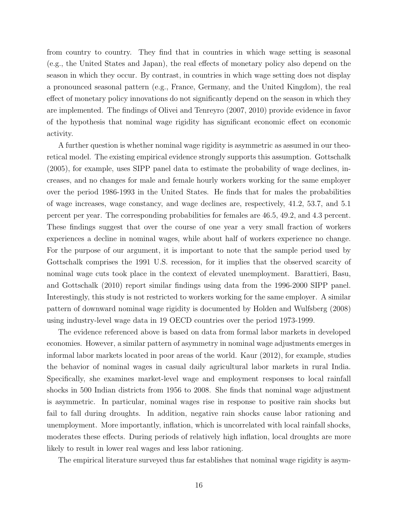from country to country. They find that in countries in which wage setting is seasonal (e.g., the United States and Japan), the real effects of monetary policy also depend on the season in which they occur. By contrast, in countries in which wage setting does not display a pronounced seasonal pattern (e.g., France, Germany, and the United Kingdom), the real effect of monetary policy innovations do not significantly depend on the season in which they are implemented. The findings of Olivei and Tenreyro (2007, 2010) provide evidence in favor of the hypothesis that nominal wage rigidity has significant economic effect on economic activity.

A further question is whether nominal wage rigidity is asymmetric as assumed in our theoretical model. The existing empirical evidence strongly supports this assumption. Gottschalk (2005), for example, uses SIPP panel data to estimate the probability of wage declines, increases, and no changes for male and female hourly workers working for the same employer over the period 1986-1993 in the United States. He finds that for males the probabilities of wage increases, wage constancy, and wage declines are, respectively, 41.2, 53.7, and 5.1 percent per year. The corresponding probabilities for females are 46.5, 49.2, and 4.3 percent. These findings suggest that over the course of one year a very small fraction of workers experiences a decline in nominal wages, while about half of workers experience no change. For the purpose of our argument, it is important to note that the sample period used by Gottschalk comprises the 1991 U.S. recession, for it implies that the observed scarcity of nominal wage cuts took place in the context of elevated unemployment. Barattieri, Basu, and Gottschalk (2010) report similar findings using data from the 1996-2000 SIPP panel. Interestingly, this study is not restricted to workers working for the same employer. A similar pattern of downward nominal wage rigidity is documented by Holden and Wulfsberg (2008) using industry-level wage data in 19 OECD countries over the period 1973-1999.

The evidence referenced above is based on data from formal labor markets in developed economies. However, a similar pattern of asymmetry in nominal wage adjustments emerges in informal labor markets located in poor areas of the world. Kaur (2012), for example, studies the behavior of nominal wages in casual daily agricultural labor markets in rural India. Specifically, she examines market-level wage and employment responses to local rainfall shocks in 500 Indian districts from 1956 to 2008. She finds that nominal wage adjustment is asymmetric. In particular, nominal wages rise in response to positive rain shocks but fail to fall during droughts. In addition, negative rain shocks cause labor rationing and unemployment. More importantly, inflation, which is uncorrelated with local rainfall shocks, moderates these effects. During periods of relatively high inflation, local droughts are more likely to result in lower real wages and less labor rationing.

The empirical literature surveyed thus far establishes that nominal wage rigidity is asym-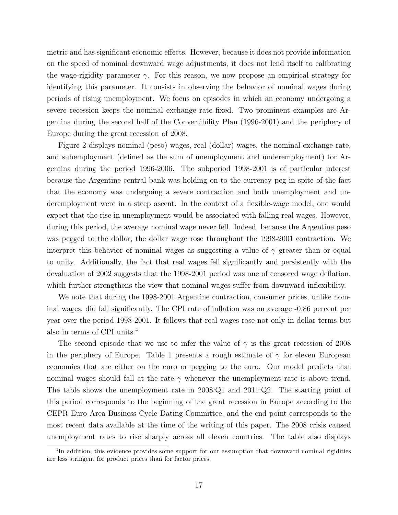metric and has significant economic effects. However, because it does not provide information on the speed of nominal downward wage adjustments, it does not lend itself to calibrating the wage-rigidity parameter  $\gamma$ . For this reason, we now propose an empirical strategy for identifying this parameter. It consists in observing the behavior of nominal wages during periods of rising unemployment. We focus on episodes in which an economy undergoing a severe recession keeps the nominal exchange rate fixed. Two prominent examples are Argentina during the second half of the Convertibility Plan (1996-2001) and the periphery of Europe during the great recession of 2008.

Figure 2 displays nominal (peso) wages, real (dollar) wages, the nominal exchange rate, and subemployment (defined as the sum of unemployment and underemployment) for Argentina during the period 1996-2006. The subperiod 1998-2001 is of particular interest because the Argentine central bank was holding on to the currency peg in spite of the fact that the economy was undergoing a severe contraction and both unemployment and underemployment were in a steep ascent. In the context of a flexible-wage model, one would expect that the rise in unemployment would be associated with falling real wages. However, during this period, the average nominal wage never fell. Indeed, because the Argentine peso was pegged to the dollar, the dollar wage rose throughout the 1998-2001 contraction. We interpret this behavior of nominal wages as suggesting a value of *γ* greater than or equal to unity. Additionally, the fact that real wages fell significantly and persistently with the devaluation of 2002 suggests that the 1998-2001 period was one of censored wage deflation, which further strengthens the view that nominal wages suffer from downward inflexibility.

We note that during the 1998-2001 Argentine contraction, consumer prices, unlike nominal wages, did fall significantly. The CPI rate of inflation was on average -0.86 percent per year over the period 1998-2001. It follows that real wages rose not only in dollar terms but also in terms of CPI units.<sup>4</sup>

The second episode that we use to infer the value of  $\gamma$  is the great recession of 2008 in the periphery of Europe. Table 1 presents a rough estimate of  $\gamma$  for eleven European economies that are either on the euro or pegging to the euro. Our model predicts that nominal wages should fall at the rate  $\gamma$  whenever the unemployment rate is above trend. The table shows the unemployment rate in 2008:Q1 and 2011:Q2. The starting point of this period corresponds to the beginning of the great recession in Europe according to the CEPR Euro Area Business Cycle Dating Committee, and the end point corresponds to the most recent data available at the time of the writing of this paper. The 2008 crisis caused unemployment rates to rise sharply across all eleven countries. The table also displays

<sup>&</sup>lt;sup>4</sup>In addition, this evidence provides some support for our assumption that downward nominal rigidities are less stringent for product prices than for factor prices.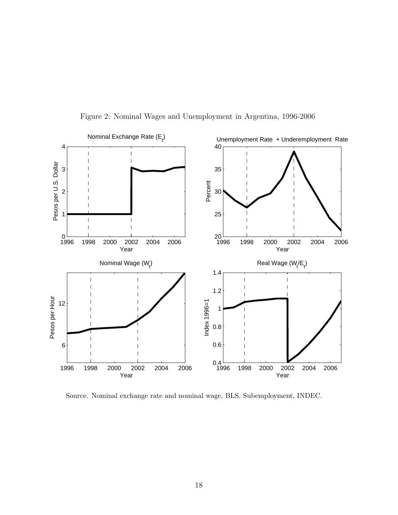

Figure 2: Nominal Wages and Unemployment in Argentina, 1996-2006

Source. Nominal exchange rate and nominal wage, BLS. Subemployment, INDEC.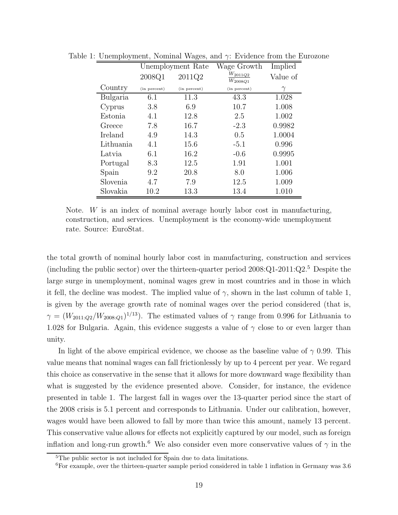|           | Unemployment Rate |              | Wage Growth                  | Implied  |  |
|-----------|-------------------|--------------|------------------------------|----------|--|
|           | 2008Q1            | 2011Q2       | $W_{2011Q2}$<br>$W_{2008Q1}$ | Value of |  |
| Country   | (in percent)      | (in percent) | (in percent)                 | $\gamma$ |  |
| Bulgaria  | 6.1               | 11.3         | 43.3                         | 1.028    |  |
| Cyprus    | 3.8               | 6.9          | 10.7                         | 1.008    |  |
| Estonia   | 4.1               | 12.8         | 2.5                          | 1.002    |  |
| Greece    | 7.8               | 16.7         | $-2.3$                       | 0.9982   |  |
| Ireland   | 4.9               | 14.3         | 0.5                          | 1.0004   |  |
| Lithuania | 4.1               | 15.6         | $-5.1$                       | 0.996    |  |
| Latvia    | 6.1               | 16.2         | $-0.6$                       | 0.9995   |  |
| Portugal  | 8.3               | 12.5         | 1.91                         | 1.001    |  |
| Spain     | 9.2               | 20.8         | 8.0                          | 1.006    |  |
| Slovenia  | 4.7               | 7.9          | 12.5                         | 1.009    |  |
| Slovakia  | 10.2              | 13.3         | 13.4                         | 1.010    |  |

Table 1: Unemployment, Nominal Wages, and *γ*: Evidence from the Eurozone

Note. *W* is an index of nominal average hourly labor cost in manufacturing, construction, and services. Unemployment is the economy-wide unemployment rate. Source: EuroStat.

the total growth of nominal hourly labor cost in manufacturing, construction and services (including the public sector) over the thirteen-quarter period  $2008:Q1-2011:Q2<sup>5</sup>$  Despite the large surge in unemployment, nominal wages grew in most countries and in those in which it fell, the decline was modest. The implied value of  $\gamma$ , shown in the last column of table 1, is given by the average growth rate of nominal wages over the period considered (that is,  $\gamma = (W_{2011:Q2}/W_{2008:Q1})^{1/13}$ . The estimated values of  $\gamma$  range from 0.996 for Lithuania to 1.028 for Bulgaria. Again, this evidence suggests a value of *γ* close to or even larger than unity.

In light of the above empirical evidence, we choose as the baseline value of  $\gamma$  0.99. This value means that nominal wages can fall frictionlessly by up to 4 percent per year. We regard this choice as conservative in the sense that it allows for more downward wage flexibility than what is suggested by the evidence presented above. Consider, for instance, the evidence presented in table 1. The largest fall in wages over the 13-quarter period since the start of the 2008 crisis is 5.1 percent and corresponds to Lithuania. Under our calibration, however, wages would have been allowed to fall by more than twice this amount, namely 13 percent. This conservative value allows for effects not explicitly captured by our model, such as foreign inflation and long-run growth.<sup>6</sup> We also consider even more conservative values of  $\gamma$  in the

<sup>5</sup>The public sector is not included for Spain due to data limitations.

 ${}^{6}$ For example, over the thirteen-quarter sample period considered in table 1 inflation in Germany was 3.6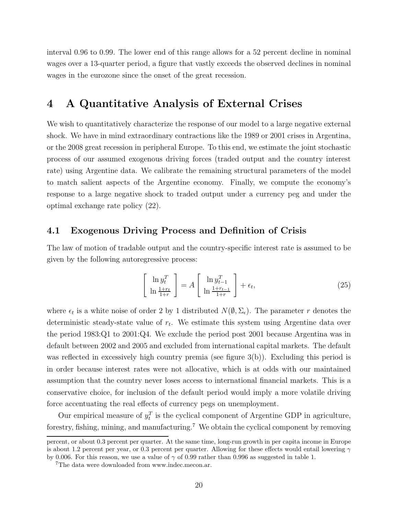interval 0.96 to 0.99. The lower end of this range allows for a 52 percent decline in nominal wages over a 13-quarter period, a figure that vastly exceeds the observed declines in nominal wages in the eurozone since the onset of the great recession.

## **4 A Quantitative Analysis of External Crises**

We wish to quantitatively characterize the response of our model to a large negative external shock. We have in mind extraordinary contractions like the 1989 or 2001 crises in Argentina, or the 2008 great recession in peripheral Europe. To this end, we estimate the joint stochastic process of our assumed exogenous driving forces (traded output and the country interest rate) using Argentine data. We calibrate the remaining structural parameters of the model to match salient aspects of the Argentine economy. Finally, we compute the economy's response to a large negative shock to traded output under a currency peg and under the optimal exchange rate policy (22).

### **4.1 Exogenous Driving Process and Definition of Crisis**

The law of motion of tradable output and the country-specific interest rate is assumed to be given by the following autoregressive process:

$$
\begin{bmatrix} \ln y_t^T \\ \ln \frac{1+r_t}{1+r} \end{bmatrix} = A \begin{bmatrix} \ln y_{t-1}^T \\ \ln \frac{1+r_{t-1}}{1+r} \end{bmatrix} + \epsilon_t,
$$
\n(25)

where  $\epsilon_t$  is a white noise of order 2 by 1 distributed  $N(\emptyset, \Sigma_{\epsilon})$ . The parameter *r* denotes the deterministic steady-state value of  $r_t$ . We estimate this system using Argentine data over the period 1983:Q1 to 2001:Q4. We exclude the period post 2001 because Argentina was in default between 2002 and 2005 and excluded from international capital markets. The default was reflected in excessively high country premia (see figure  $3(b)$ ). Excluding this period is in order because interest rates were not allocative, which is at odds with our maintained assumption that the country never loses access to international financial markets. This is a conservative choice, for inclusion of the default period would imply a more volatile driving force accentuating the real effects of currency pegs on unemployment.

Our empirical measure of  $y_t^T$  is the cyclical component of Argentine GDP in agriculture, forestry, fishing, mining, and manufacturing.<sup>7</sup> We obtain the cyclical component by removing

percent, or about 0.3 percent per quarter. At the same time, long-run growth in per capita income in Europe is about 1.2 percent per year, or 0.3 percent per quarter. Allowing for these effects would entail lowering  $\gamma$ by 0.006. For this reason, we use a value of  $\gamma$  of 0.99 rather than 0.996 as suggested in table 1.

<sup>7</sup>The data were downloaded from www.indec.mecon.ar.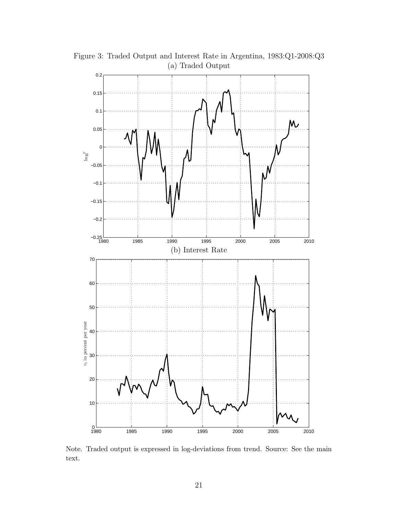

Figure 3: Traded Output and Interest Rate in Argentina, 1983:Q1-2008:Q3 (a) Traded Output

Note. Traded output is expressed in log-deviations from trend. Source: See the main text.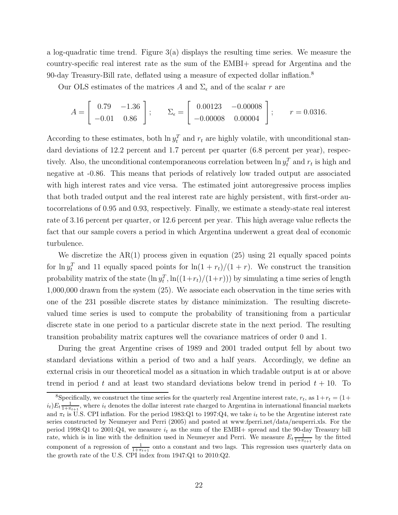a log-quadratic time trend. Figure  $3(a)$  displays the resulting time series. We measure the country-specific real interest rate as the sum of the EMBI+ spread for Argentina and the 90-day Treasury-Bill rate, deflated using a measure of expected dollar inflation.<sup>8</sup>

Our OLS estimates of the matrices A and  $\Sigma_{\epsilon}$  and of the scalar r are

$$
A = \begin{bmatrix} 0.79 & -1.36 \\ -0.01 & 0.86 \end{bmatrix}; \qquad \Sigma_{\epsilon} = \begin{bmatrix} 0.00123 & -0.00008 \\ -0.00008 & 0.00004 \end{bmatrix}; \qquad r = 0.0316.
$$

According to these estimates, both  $\ln y_t^T$  and  $r_t$  are highly volatile, with unconditional standard deviations of 12.2 percent and 1.7 percent per quarter (6.8 percent per year), respectively. Also, the unconditional contemporaneous correlation between  $\ln y_t^T$  and  $r_t$  is high and negative at -0.86. This means that periods of relatively low traded output are associated with high interest rates and vice versa. The estimated joint autoregressive process implies that both traded output and the real interest rate are highly persistent, with first-order autocorrelations of 0.95 and 0.93, respectively. Finally, we estimate a steady-state real interest rate of 3.16 percent per quarter, or 12.6 percent per year. This high average value reflects the fact that our sample covers a period in which Argentina underwent a great deal of economic turbulence.

We discretize the  $AR(1)$  process given in equation (25) using 21 equally spaced points for  $\ln y_t^T$  and 11 equally spaced points for  $\ln(1 + r_t)/(1 + r)$ . We construct the transition probability matrix of the state  $(\ln y_t^T, \ln((1+r_t)/(1+r)))$  by simulating a time series of length 1,000,000 drawn from the system (25). We associate each observation in the time series with one of the 231 possible discrete states by distance minimization. The resulting discretevalued time series is used to compute the probability of transitioning from a particular discrete state in one period to a particular discrete state in the next period. The resulting transition probability matrix captures well the covariance matrices of order 0 and 1.

During the great Argentine crises of 1989 and 2001 traded output fell by about two standard deviations within a period of two and a half years. Accordingly, we define an external crisis in our theoretical model as a situation in which tradable output is at or above trend in period  $t$  and at least two standard deviations below trend in period  $t + 10$ . To

<sup>&</sup>lt;sup>8</sup>Specifically, we construct the time series for the quarterly real Argentine interest rate,  $r_t$ , as  $1+r_t = (1+$  $i_t$ ) $E_t \frac{1}{1+\pi_{t+1}}$ , where  $i_t$  denotes the dollar interest rate charged to Argentina in international financial markets and  $\pi_t$  is U.S. CPI inflation. For the period 1983:Q1 to 1997:Q4, we take  $i_t$  to be the Argentine interest rate series constructed by Neumeyer and Perri (2005) and posted at www.fperri.net/data/neuperri.xls. For the period 1998:Q1 to 2001:Q4, we measure  $i_t$  as the sum of the EMBI+ spread and the 90-day Treasury bill rate, which is in line with the definition used in Neumeyer and Perri. We measure  $E_t \frac{1}{1+\pi_{t+1}}$  by the fitted component of a regression of  $\frac{1}{1+\pi_{t+1}}$  onto a constant and two lags. This regression uses quarterly data on the growth rate of the U.S. CPI index from 1947:Q1 to 2010:Q2.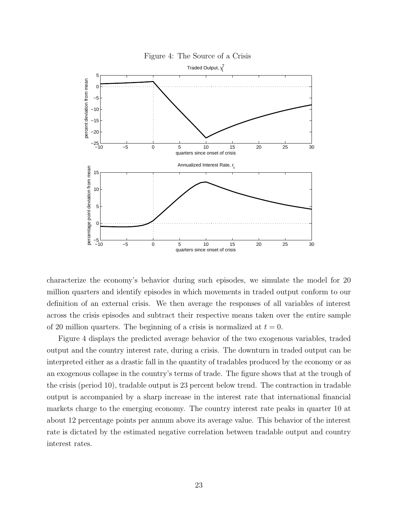

Figure 4: The Source of a Crisis

characterize the economy's behavior during such episodes, we simulate the model for 20 million quarters and identify episodes in which movements in traded output conform to our definition of an external crisis. We then average the responses of all variables of interest across the crisis episodes and subtract their respective means taken over the entire sample of 20 million quarters. The beginning of a crisis is normalized at  $t = 0$ .

Figure 4 displays the predicted average behavior of the two exogenous variables, traded output and the country interest rate, during a crisis. The downturn in traded output can be interpreted either as a drastic fall in the quantity of tradables produced by the economy or as an exogenous collapse in the country's terms of trade. The figure shows that at the trough of the crisis (period 10), tradable output is 23 percent below trend. The contraction in tradable output is accompanied by a sharp increase in the interest rate that international financial markets charge to the emerging economy. The country interest rate peaks in quarter 10 at about 12 percentage points per annum above its average value. This behavior of the interest rate is dictated by the estimated negative correlation between tradable output and country interest rates.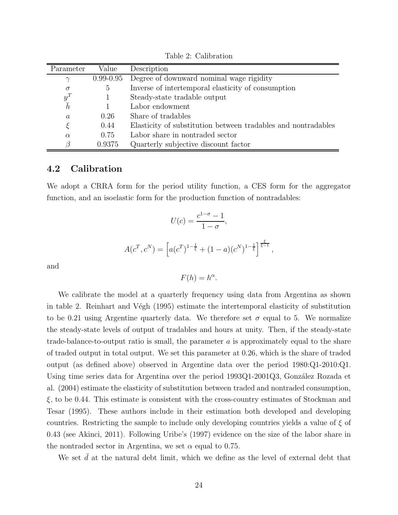| Parameter       | Value         | Description                                                   |
|-----------------|---------------|---------------------------------------------------------------|
| $\gamma$        | $0.99 - 0.95$ | Degree of downward nominal wage rigidity                      |
| $\sigma$        | $5^{\circ}$   | Inverse of intertemporal elasticity of consumption            |
| $y^T_{\bar{h}}$ |               | Steady-state tradable output                                  |
|                 |               | Labor endowment                                               |
| $\alpha$        | 0.26          | Share of tradables                                            |
|                 | 0.44          | Elasticity of substitution between tradables and nontradables |
| $\alpha$        | 0.75          | Labor share in nontraded sector                               |
|                 | 0.9375        | Quarterly subjective discount factor                          |

Table 2: Calibration

### **4.2 Calibration**

We adopt a CRRA form for the period utility function, a CES form for the aggregator function, and an isoelastic form for the production function of nontradables:

$$
U(c) = \frac{c^{1-\sigma} - 1}{1 - \sigma},
$$
  

$$
A(c^T, c^N) = \left[a(c^T)^{1-\frac{1}{\xi}} + (1 - a)(c^N)^{1-\frac{1}{\xi}}\right]^{\frac{\xi}{\xi - 1}},
$$

and

 $F(h) = h^{\alpha}$ .

We calibrate the model at a quarterly frequency using data from Argentina as shown in table 2. Reinhart and Végh (1995) estimate the intertemporal elasticity of substitution to be 0.21 using Argentine quarterly data. We therefore set  $\sigma$  equal to 5. We normalize the steady-state levels of output of tradables and hours at unity. Then, if the steady-state trade-balance-to-output ratio is small, the parameter *a* is approximately equal to the share of traded output in total output. We set this parameter at 0.26, which is the share of traded output (as defined above) observed in Argentine data over the period 1980:Q1-2010:Q1. Using time series data for Argentina over the period 1993Q1-2001Q3, González Rozada et al. (2004) estimate the elasticity of substitution between traded and nontraded consumption, *ξ*, to be 0.44. This estimate is consistent with the cross-country estimates of Stockman and Tesar (1995). These authors include in their estimation both developed and developing countries. Restricting the sample to include only developing countries yields a value of *ξ* of 0.43 (see Akinci, 2011). Following Uribe's (1997) evidence on the size of the labor share in the nontraded sector in Argentina, we set  $\alpha$  equal to 0.75.

We set  $\bar{d}$  at the natural debt limit, which we define as the level of external debt that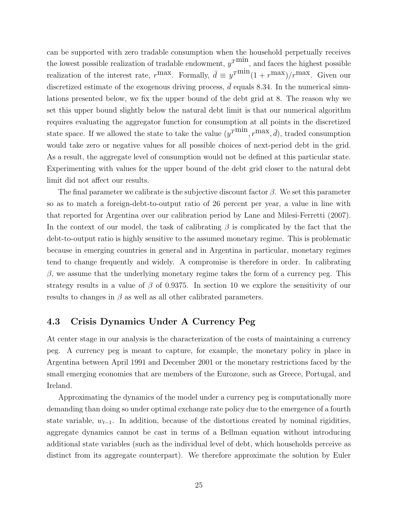can be supported with zero tradable consumption when the household perpetually receives the lowest possible realization of tradable endowment,  $y^T$ <sup>min</sup>, and faces the highest possible realization of the interest rate,  $r^{\text{max}}$ . Formally,  $\bar{d} \equiv y^{\text{rmin}}(1 + r^{\text{max}})/r^{\text{max}}$ . Given our discretized estimate of the exogenous driving process,  $\bar{d}$  equals 8.34. In the numerical simulations presented below, we fix the upper bound of the debt grid at 8. The reason why we set this upper bound slightly below the natural debt limit is that our numerical algorithm requires evaluating the aggregator function for consumption at all points in the discretized state space. If we allowed the state to take the value  $(y^T\text{min}, r^{\text{max}}, \bar{d})$ , traded consumption would take zero or negative values for all possible choices of next-period debt in the grid. As a result, the aggregate level of consumption would not be defined at this particular state. Experimenting with values for the upper bound of the debt grid closer to the natural debt limit did not affect our results.

The final parameter we calibrate is the subjective discount factor *β*. We set this parameter so as to match a foreign-debt-to-output ratio of 26 percent per year, a value in line with that reported for Argentina over our calibration period by Lane and Milesi-Ferretti (2007). In the context of our model, the task of calibrating *β* is complicated by the fact that the debt-to-output ratio is highly sensitive to the assumed monetary regime. This is problematic because in emerging countries in general and in Argentina in particular, monetary regimes tend to change frequently and widely. A compromise is therefore in order. In calibrating *β*, we assume that the underlying monetary regime takes the form of a currency peg. This strategy results in a value of *β* of 0.9375. In section 10 we explore the sensitivity of our results to changes in  $\beta$  as well as all other calibrated parameters.

### **4.3 Crisis Dynamics Under A Currency Peg**

At center stage in our analysis is the characterization of the costs of maintaining a currency peg. A currency peg is meant to capture, for example, the monetary policy in place in Argentina between April 1991 and December 2001 or the monetary restrictions faced by the small emerging economies that are members of the Eurozone, such as Greece, Portugal, and Ireland.

Approximating the dynamics of the model under a currency peg is computationally more demanding than doing so under optimal exchange rate policy due to the emergence of a fourth state variable,  $w_{t-1}$ . In addition, because of the distortions created by nominal rigidities, aggregate dynamics cannot be cast in terms of a Bellman equation without introducing additional state variables (such as the individual level of debt, which households perceive as distinct from its aggregate counterpart). We therefore approximate the solution by Euler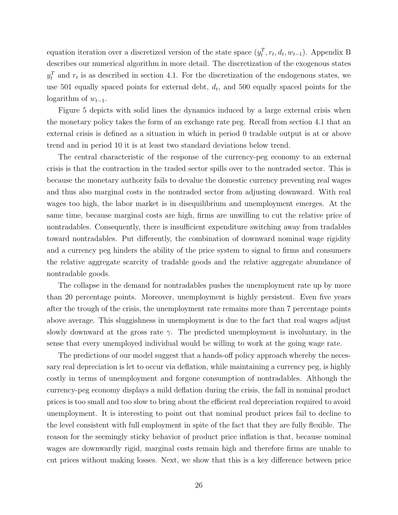equation iteration over a discretized version of the state space  $(y_t^T, r_t, d_t, w_{t-1})$ . Appendix B describes our numerical algorithm in more detail. The discretization of the exogenous states  $y_t^T$  and  $r_t$  is as described in section 4.1. For the discretization of the endogenous states, we use 501 equally spaced points for external debt,  $d_t$ , and 500 equally spaced points for the logarithm of  $w_{t-1}$ .

Figure 5 depicts with solid lines the dynamics induced by a large external crisis when the monetary policy takes the form of an exchange rate peg. Recall from section 4.1 that an external crisis is defined as a situation in which in period 0 tradable output is at or above trend and in period 10 it is at least two standard deviations below trend.

The central characteristic of the response of the currency-peg economy to an external crisis is that the contraction in the traded sector spills over to the nontraded sector. This is because the monetary authority fails to devalue the domestic currency preventing real wages and thus also marginal costs in the nontraded sector from adjusting downward. With real wages too high, the labor market is in disequilibrium and unemployment emerges. At the same time, because marginal costs are high, firms are unwilling to cut the relative price of nontradables. Consequently, there is insufficient expenditure switching away from tradables toward nontradables. Put differently, the combination of downward nominal wage rigidity and a currency peg hinders the ability of the price system to signal to firms and consumers the relative aggregate scarcity of tradable goods and the relative aggregate abundance of nontradable goods.

The collapse in the demand for nontradables pushes the unemployment rate up by more than 20 percentage points. Moreover, unemployment is highly persistent. Even five years after the trough of the crisis, the unemployment rate remains more than 7 percentage points above average. This sluggishness in unemployment is due to the fact that real wages adjust slowly downward at the gross rate  $\gamma$ . The predicted unemployment is involuntary, in the sense that every unemployed individual would be willing to work at the going wage rate.

The predictions of our model suggest that a hands-off policy approach whereby the necessary real depreciation is let to occur via deflation, while maintaining a currency peg, is highly costly in terms of unemployment and forgone consumption of nontradables. Although the currency-peg economy displays a mild deflation during the crisis, the fall in nominal product prices is too small and too slow to bring about the efficient real depreciation required to avoid unemployment. It is interesting to point out that nominal product prices fail to decline to the level consistent with full employment in spite of the fact that they are fully flexible. The reason for the seemingly sticky behavior of product price inflation is that, because nominal wages are downwardly rigid, marginal costs remain high and therefore firms are unable to cut prices without making losses. Next, we show that this is a key difference between price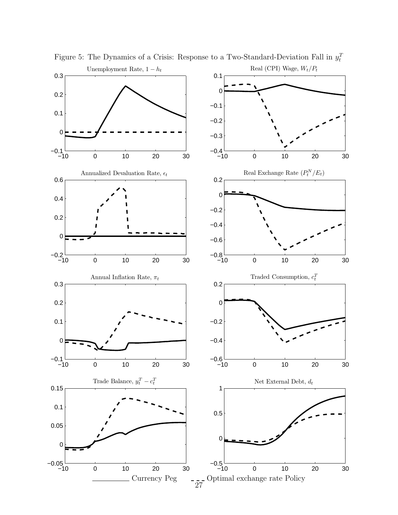

Figure 5: The Dynamics of a Crisis: Response to a Two-Standard-Deviation Fall in  $y_t^T$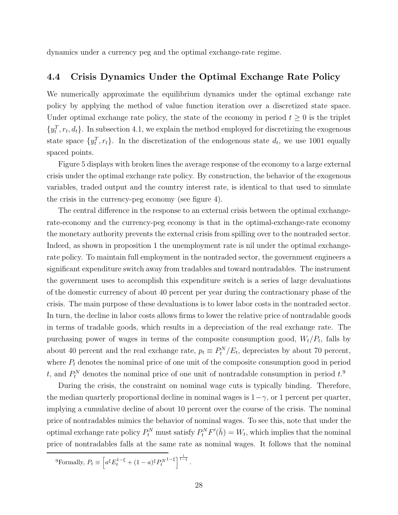dynamics under a currency peg and the optimal exchange-rate regime.

### **4.4 Crisis Dynamics Under the Optimal Exchange Rate Policy**

We numerically approximate the equilibrium dynamics under the optimal exchange rate policy by applying the method of value function iteration over a discretized state space. Under optimal exchange rate policy, the state of the economy in period  $t \geq 0$  is the triplet  $\{y_t^T, r_t, d_t\}$ . In subsection 4.1, we explain the method employed for discretizing the exogenous state space  $\{y_t^T, r_t\}$ . In the discretization of the endogenous state  $d_t$ , we use 1001 equally spaced points.

Figure 5 displays with broken lines the average response of the economy to a large external crisis under the optimal exchange rate policy. By construction, the behavior of the exogenous variables, traded output and the country interest rate, is identical to that used to simulate the crisis in the currency-peg economy (see figure 4).

The central difference in the response to an external crisis between the optimal exchangerate-economy and the currency-peg economy is that in the optimal-exchange-rate economy the monetary authority prevents the external crisis from spilling over to the nontraded sector. Indeed, as shown in proposition 1 the unemployment rate is nil under the optimal exchangerate policy. To maintain full employment in the nontraded sector, the government engineers a significant expenditure switch away from tradables and toward nontradables. The instrument the government uses to accomplish this expenditure switch is a series of large devaluations of the domestic currency of about 40 percent per year during the contractionary phase of the crisis. The main purpose of these devaluations is to lower labor costs in the nontraded sector. In turn, the decline in labor costs allows firms to lower the relative price of nontradable goods in terms of tradable goods, which results in a depreciation of the real exchange rate. The purchasing power of wages in terms of the composite consumption good,  $W_t/P_t$ , falls by about 40 percent and the real exchange rate,  $p_t \equiv P_t^N/E_t$ , depreciates by about 70 percent, where  $P_t$  denotes the nominal price of one unit of the composite consumption good in period *t*, and  $P_t^N$  denotes the nominal price of one unit of nontradable consumption in period  $t$ <sup>0</sup>.

During the crisis, the constraint on nominal wage cuts is typically binding. Therefore, the median quarterly proportional decline in nominal wages is  $1-\gamma$ , or 1 percent per quarter, implying a cumulative decline of about 10 percent over the course of the crisis. The nominal price of nontradables mimics the behavior of nominal wages. To see this, note that under the optimal exchange rate policy  $P_t^N$  must satisfy  $P_t^N F'(\bar{h}) = W_t$ , which implies that the nominal price of nontradables falls at the same rate as nominal wages. It follows that the nominal

<sup>9</sup>Formally,  $P_t \equiv \left[ a^{\xi} E_t^{1-\xi} + (1-a)^{\xi} P_t^{N1-\xi} \right]^{1-\xi}$ .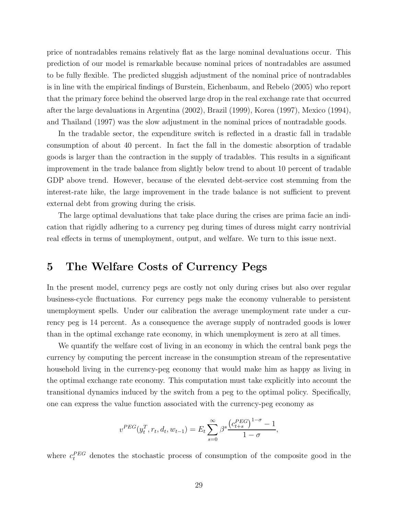price of nontradables remains relatively flat as the large nominal devaluations occur. This prediction of our model is remarkable because nominal prices of nontradables are assumed to be fully flexible. The predicted sluggish adjustment of the nominal price of nontradables is in line with the empirical findings of Burstein, Eichenbaum, and Rebelo (2005) who report that the primary force behind the observed large drop in the real exchange rate that occurred after the large devaluations in Argentina (2002), Brazil (1999), Korea (1997), Mexico (1994), and Thailand (1997) was the slow adjustment in the nominal prices of nontradable goods.

In the tradable sector, the expenditure switch is reflected in a drastic fall in tradable consumption of about 40 percent. In fact the fall in the domestic absorption of tradable goods is larger than the contraction in the supply of tradables. This results in a significant improvement in the trade balance from slightly below trend to about 10 percent of tradable GDP above trend. However, because of the elevated debt-service cost stemming from the interest-rate hike, the large improvement in the trade balance is not sufficient to prevent external debt from growing during the crisis.

The large optimal devaluations that take place during the crises are prima facie an indication that rigidly adhering to a currency peg during times of duress might carry nontrivial real effects in terms of unemployment, output, and welfare. We turn to this issue next.

# **5 The Welfare Costs of Currency Pegs**

In the present model, currency pegs are costly not only during crises but also over regular business-cycle fluctuations. For currency pegs make the economy vulnerable to persistent unemployment spells. Under our calibration the average unemployment rate under a currency peg is 14 percent. As a consequence the average supply of nontraded goods is lower than in the optimal exchange rate economy, in which unemployment is zero at all times.

We quantify the welfare cost of living in an economy in which the central bank pegs the currency by computing the percent increase in the consumption stream of the representative household living in the currency-peg economy that would make him as happy as living in the optimal exchange rate economy. This computation must take explicitly into account the transitional dynamics induced by the switch from a peg to the optimal policy. Specifically, one can express the value function associated with the currency-peg economy as

$$
v^{PEG}(y_t^T, r_t, d_t, w_{t-1}) = E_t \sum_{s=0}^{\infty} \beta^s \frac{\left(c_{t+s}^{PEG}\right)^{1-\sigma} - 1}{1-\sigma},
$$

where  $c_t^{PEG}$  denotes the stochastic process of consumption of the composite good in the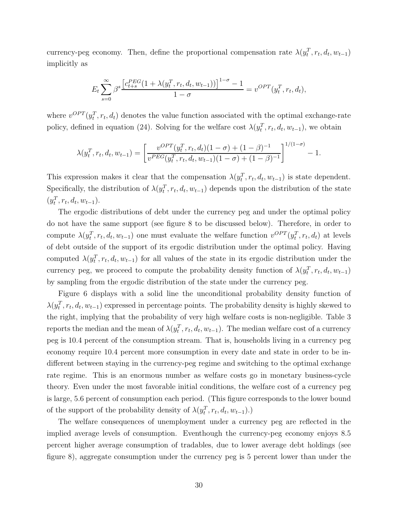currency-peg economy. Then, define the proportional compensation rate  $\lambda(y_t^T, r_t, d_t, w_{t-1})$ implicitly as

$$
E_t \sum_{s=0}^{\infty} \beta^s \frac{\left[c_{t+s}^{PEG}(1 + \lambda(y_t^T, r_t, d_t, w_{t-1}))\right]^{1-\sigma} - 1}{1-\sigma} = v^{OPT}(y_t^T, r_t, d_t),
$$

where  $v^{OPT}(y_t^T, r_t, d_t)$  denotes the value function associated with the optimal exchange-rate policy, defined in equation (24). Solving for the welfare cost  $\lambda(y_t^T, r_t, d_t, w_{t-1})$ , we obtain

$$
\lambda(y_t^T, r_t, d_t, w_{t-1}) = \left[ \frac{v^{OPT}(y_t^T, r_t, d_t)(1-\sigma) + (1-\beta)^{-1}}{v^{PEG}(y_t^T, r_t, d_t, w_{t-1})(1-\sigma) + (1-\beta)^{-1}} \right]^{1/(1-\sigma)} - 1.
$$

This expression makes it clear that the compensation  $\lambda(y_t^T, r_t, d_t, w_{t-1})$  is state dependent. Specifically, the distribution of  $\lambda(y_t^T, r_t, d_t, w_{t-1})$  depends upon the distribution of the state  $(y_t^T, r_t, d_t, w_{t-1}).$ 

The ergodic distributions of debt under the currency peg and under the optimal policy do not have the same support (see figure 8 to be discussed below). Therefore, in order to compute  $\lambda(y_t^T, r_t, d_t, w_{t-1})$  one must evaluate the welfare function  $v^{OPT}(y_t^T, r_t, d_t)$  at levels of debt outside of the support of its ergodic distribution under the optimal policy. Having computed  $\lambda(y_t^T, r_t, d_t, w_{t-1})$  for all values of the state in its ergodic distribution under the currency peg, we proceed to compute the probability density function of  $\lambda(y_t^T, r_t, d_t, w_{t-1})$ by sampling from the ergodic distribution of the state under the currency peg.

Figure 6 displays with a solid line the unconditional probability density function of  $\lambda(y_t^T, r_t, d_t, w_{t-1})$  expressed in percentage points. The probability density is highly skewed to the right, implying that the probability of very high welfare costs is non-negligible. Table 3 reports the median and the mean of  $\lambda(y_t^T, r_t, d_t, w_{t-1})$ . The median welfare cost of a currency peg is 10.4 percent of the consumption stream. That is, households living in a currency peg economy require 10.4 percent more consumption in every date and state in order to be indifferent between staying in the currency-peg regime and switching to the optimal exchange rate regime. This is an enormous number as welfare costs go in monetary business-cycle theory. Even under the most favorable initial conditions, the welfare cost of a currency peg is large, 5.6 percent of consumption each period. (This figure corresponds to the lower bound of the support of the probability density of  $\lambda(y_t^T, r_t, d_t, w_{t-1})$ .)

The welfare consequences of unemployment under a currency peg are reflected in the implied average levels of consumption. Eventhough the currency-peg economy enjoys 8.5 percent higher average consumption of tradables, due to lower average debt holdings (see figure 8), aggregate consumption under the currency peg is 5 percent lower than under the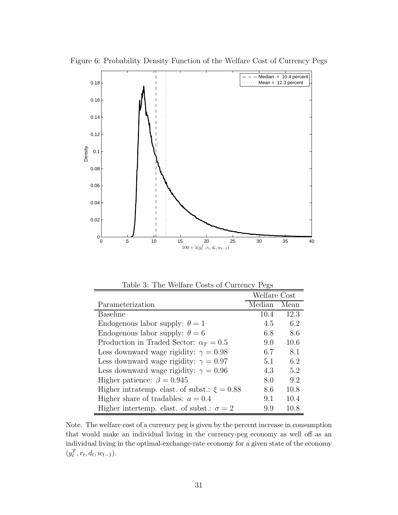

Figure 6: Probability Density Function of the Welfare Cost of Currency Pegs

Table 3: The Welfare Costs of Currency Pegs

|                                                  | Welfare Cost |      |
|--------------------------------------------------|--------------|------|
| Parameterization                                 | Median       | Mean |
| Baseline                                         | 10.4         | 12.3 |
| Endogenous labor supply: $\theta = 1$            | 4.5          | 6.2  |
| Endogenous labor supply: $\theta = 6$            | 6.8          | 8.6  |
| Production in Traded Sector: $\alpha_T = 0.5$    | 9.0          | 10.6 |
| Less downward wage rigidity: $\gamma = 0.98$     | 6.7          | 8.1  |
| Less downward wage rigidity: $\gamma = 0.97$     | 5.1          | 6.2  |
| Less downward wage rigidity: $\gamma = 0.96$     | 4.3          | 5.2  |
| Higher patience: $\beta = 0.945$                 | 8.0          | 9.2  |
| Higher intratemp. elast. of subst.: $\xi = 0.88$ | 8.6          | 10.8 |
| Higher share of tradables: $a = 0.4$             | 9.1          | 10.4 |
| Higher intertemp. elast. of subst.: $\sigma = 2$ | 9.9          | 10.8 |

Note. The welfare cost of a currency peg is given by the percent increase in consumption that would make an individual living in the currency-peg economy as well off as an individual living in the optimal-exchange-rate economy for a given state of the economy  $(y_t^T, r_t, d_t, w_{t-1}).$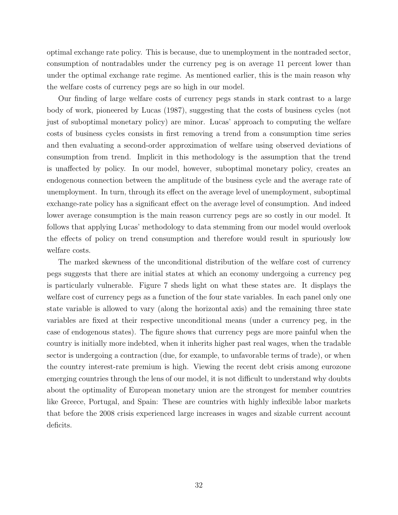optimal exchange rate policy. This is because, due to unemployment in the nontraded sector, consumption of nontradables under the currency peg is on average 11 percent lower than under the optimal exchange rate regime. As mentioned earlier, this is the main reason why the welfare costs of currency pegs are so high in our model.

Our finding of large welfare costs of currency pegs stands in stark contrast to a large body of work, pioneered by Lucas (1987), suggesting that the costs of business cycles (not just of suboptimal monetary policy) are minor. Lucas' approach to computing the welfare costs of business cycles consists in first removing a trend from a consumption time series and then evaluating a second-order approximation of welfare using observed deviations of consumption from trend. Implicit in this methodology is the assumption that the trend is unaffected by policy. In our model, however, suboptimal monetary policy, creates an endogenous connection between the amplitude of the business cycle and the average rate of unemployment. In turn, through its effect on the average level of unemployment, suboptimal exchange-rate policy has a significant effect on the average level of consumption. And indeed lower average consumption is the main reason currency pegs are so costly in our model. It follows that applying Lucas' methodology to data stemming from our model would overlook the effects of policy on trend consumption and therefore would result in spuriously low welfare costs.

The marked skewness of the unconditional distribution of the welfare cost of currency pegs suggests that there are initial states at which an economy undergoing a currency peg is particularly vulnerable. Figure 7 sheds light on what these states are. It displays the welfare cost of currency pegs as a function of the four state variables. In each panel only one state variable is allowed to vary (along the horizontal axis) and the remaining three state variables are fixed at their respective unconditional means (under a currency peg, in the case of endogenous states). The figure shows that currency pegs are more painful when the country is initially more indebted, when it inherits higher past real wages, when the tradable sector is undergoing a contraction (due, for example, to unfavorable terms of trade), or when the country interest-rate premium is high. Viewing the recent debt crisis among eurozone emerging countries through the lens of our model, it is not difficult to understand why doubts about the optimality of European monetary union are the strongest for member countries like Greece, Portugal, and Spain: These are countries with highly inflexible labor markets that before the 2008 crisis experienced large increases in wages and sizable current account deficits.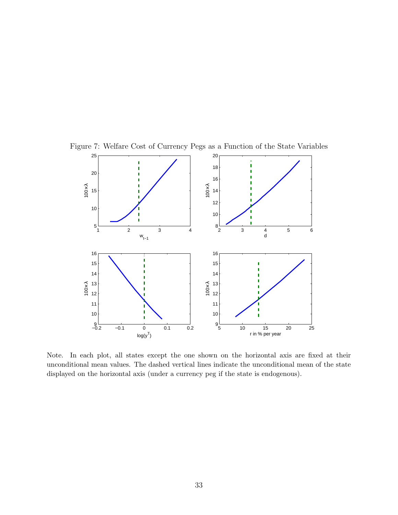

Figure 7: Welfare Cost of Currency Pegs as a Function of the State Variables

Note. In each plot, all states except the one shown on the horizontal axis are fixed at their unconditional mean values. The dashed vertical lines indicate the unconditional mean of the state displayed on the horizontal axis (under a currency peg if the state is endogenous).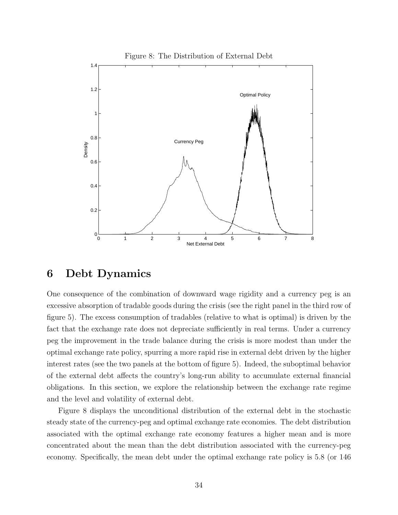

## **6 Debt Dynamics**

One consequence of the combination of downward wage rigidity and a currency peg is an excessive absorption of tradable goods during the crisis (see the right panel in the third row of figure 5). The excess consumption of tradables (relative to what is optimal) is driven by the fact that the exchange rate does not depreciate sufficiently in real terms. Under a currency peg the improvement in the trade balance during the crisis is more modest than under the optimal exchange rate policy, spurring a more rapid rise in external debt driven by the higher interest rates (see the two panels at the bottom of figure 5). Indeed, the suboptimal behavior of the external debt affects the country's long-run ability to accumulate external financial obligations. In this section, we explore the relationship between the exchange rate regime and the level and volatility of external debt.

Figure 8 displays the unconditional distribution of the external debt in the stochastic steady state of the currency-peg and optimal exchange rate economies. The debt distribution associated with the optimal exchange rate economy features a higher mean and is more concentrated about the mean than the debt distribution associated with the currency-peg economy. Specifically, the mean debt under the optimal exchange rate policy is 5.8 (or 146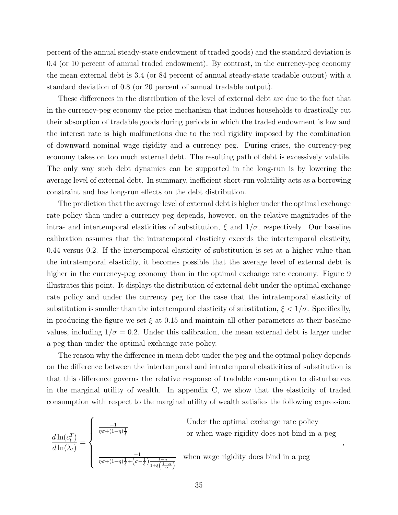percent of the annual steady-state endowment of traded goods) and the standard deviation is 0.4 (or 10 percent of annual traded endowment). By contrast, in the currency-peg economy the mean external debt is 3.4 (or 84 percent of annual steady-state tradable output) with a standard deviation of 0.8 (or 20 percent of annual tradable output).

These differences in the distribution of the level of external debt are due to the fact that in the currency-peg economy the price mechanism that induces households to drastically cut their absorption of tradable goods during periods in which the traded endowment is low and the interest rate is high malfunctions due to the real rigidity imposed by the combination of downward nominal wage rigidity and a currency peg. During crises, the currency-peg economy takes on too much external debt. The resulting path of debt is excessively volatile. The only way such debt dynamics can be supported in the long-run is by lowering the average level of external debt. In summary, inefficient short-run volatility acts as a borrowing constraint and has long-run effects on the debt distribution.

The prediction that the average level of external debt is higher under the optimal exchange rate policy than under a currency peg depends, however, on the relative magnitudes of the intra- and intertemporal elasticities of substitution,  $\xi$  and  $1/\sigma$ , respectively. Our baseline calibration assumes that the intratemporal elasticity exceeds the intertemporal elasticity, 0.44 versus 0.2. If the intertemporal elasticity of substitution is set at a higher value than the intratemporal elasticity, it becomes possible that the average level of external debt is higher in the currency-peg economy than in the optimal exchange rate economy. Figure 9 illustrates this point. It displays the distribution of external debt under the optimal exchange rate policy and under the currency peg for the case that the intratemporal elasticity of substitution is smaller than the intertemporal elasticity of substitution,  $\xi < 1/\sigma$ . Specifically, in producing the figure we set  $\xi$  at 0.15 and maintain all other parameters at their baseline values, including  $1/\sigma = 0.2$ . Under this calibration, the mean external debt is larger under a peg than under the optimal exchange rate policy.

The reason why the difference in mean debt under the peg and the optimal policy depends on the difference between the intertemporal and intratemporal elasticities of substitution is that this difference governs the relative response of tradable consumption to disturbances in the marginal utility of wealth. In appendix C, we show that the elasticity of traded consumption with respect to the marginal utility of wealth satisfies the following expression:

$$
\frac{d\ln(c_t^T)}{d\ln(\lambda_t)} = \begin{cases}\n\frac{-1}{\eta\sigma + (1-\eta)\frac{1}{\xi}} & \text{Under the optimal exchange rate policy} \\
\frac{d\ln(\lambda_t)}{\eta\sigma + (1-\eta)\frac{1}{\xi} + (\sigma - \frac{1}{\xi})\frac{1-\eta}{1+\xi\left(\frac{1-\alpha}{\alpha}\right)}} & \text{when wage rigidity does bind in a peg}\n\end{cases}
$$

*,*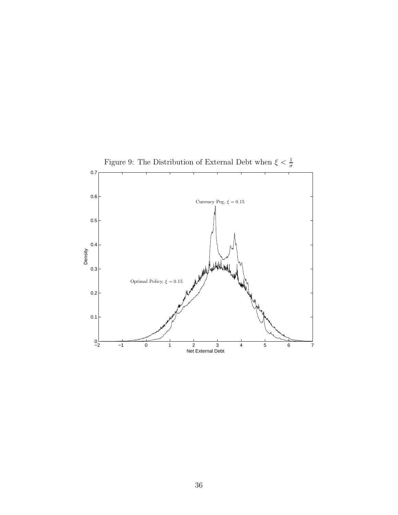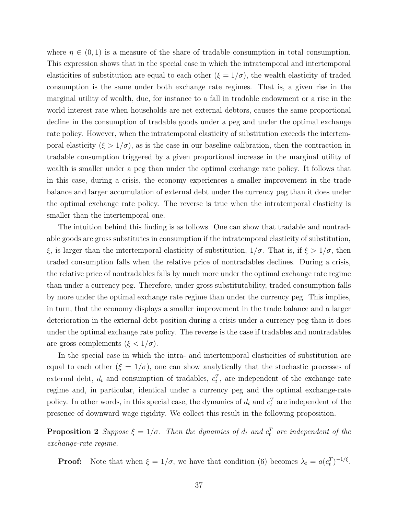where  $\eta \in (0,1)$  is a measure of the share of tradable consumption in total consumption. This expression shows that in the special case in which the intratemporal and intertemporal elasticities of substitution are equal to each other  $(\xi = 1/\sigma)$ , the wealth elasticity of traded consumption is the same under both exchange rate regimes. That is, a given rise in the marginal utility of wealth, due, for instance to a fall in tradable endowment or a rise in the world interest rate when households are net external debtors, causes the same proportional decline in the consumption of tradable goods under a peg and under the optimal exchange rate policy. However, when the intratemporal elasticity of substitution exceeds the intertemporal elasticity  $(\xi > 1/\sigma)$ , as is the case in our baseline calibration, then the contraction in tradable consumption triggered by a given proportional increase in the marginal utility of wealth is smaller under a peg than under the optimal exchange rate policy. It follows that in this case, during a crisis, the economy experiences a smaller improvement in the trade balance and larger accumulation of external debt under the currency peg than it does under the optimal exchange rate policy. The reverse is true when the intratemporal elasticity is smaller than the intertemporal one.

The intuition behind this finding is as follows. One can show that tradable and nontradable goods are gross substitutes in consumption if the intratemporal elasticity of substitution, *ξ*, is larger than the intertemporal elasticity of substitution,  $1/\sigma$ . That is, if  $\xi > 1/\sigma$ , then traded consumption falls when the relative price of nontradables declines. During a crisis, the relative price of nontradables falls by much more under the optimal exchange rate regime than under a currency peg. Therefore, under gross substitutability, traded consumption falls by more under the optimal exchange rate regime than under the currency peg. This implies, in turn, that the economy displays a smaller improvement in the trade balance and a larger deterioration in the external debt position during a crisis under a currency peg than it does under the optimal exchange rate policy. The reverse is the case if tradables and nontradables are gross complements  $(\xi < 1/\sigma)$ .

In the special case in which the intra- and intertemporal elasticities of substitution are equal to each other  $(\xi = 1/\sigma)$ , one can show analytically that the stochastic processes of external debt,  $d_t$  and consumption of tradables,  $c_t^T$ , are independent of the exchange rate regime and, in particular, identical under a currency peg and the optimal exchange-rate policy. In other words, in this special case, the dynamics of  $d_t$  and  $c_t^T$  are independent of the presence of downward wage rigidity. We collect this result in the following proposition.

**Proposition 2** *Suppose*  $\xi = 1/\sigma$ . Then the dynamics of  $d_t$  and  $c_t^T$  are independent of the *exchange-rate regime.*

**Proof:** Note that when  $\xi = 1/\sigma$ , we have that condition (6) becomes  $\lambda_t = a(c_t^T)^{-1/\xi}$ .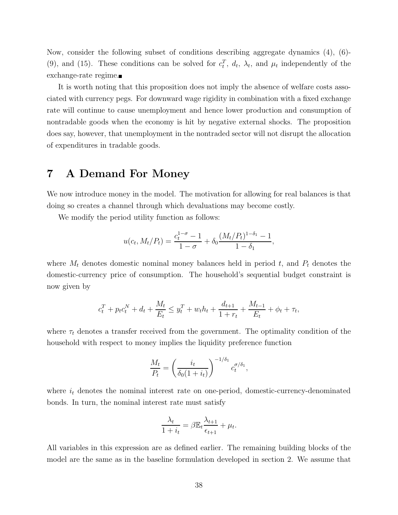Now, consider the following subset of conditions describing aggregate dynamics (4), (6)- (9), and (15). These conditions can be solved for  $c_t^T$ ,  $d_t$ ,  $\lambda_t$ , and  $\mu_t$  independently of the exchange-rate regime.

It is worth noting that this proposition does not imply the absence of welfare costs associated with currency pegs. For downward wage rigidity in combination with a fixed exchange rate will continue to cause unemployment and hence lower production and consumption of nontradable goods when the economy is hit by negative external shocks. The proposition does say, however, that unemployment in the nontraded sector will not disrupt the allocation of expenditures in tradable goods.

# **7 A Demand For Money**

We now introduce money in the model. The motivation for allowing for real balances is that doing so creates a channel through which devaluations may become costly.

We modify the period utility function as follows:

$$
u(c_t, M_t/P_t) = \frac{c_t^{1-\sigma} - 1}{1 - \sigma} + \delta_0 \frac{(M_t/P_t)^{1-\delta_1} - 1}{1 - \delta_1},
$$

where  $M_t$  denotes domestic nominal money balances held in period  $t$ , and  $P_t$  denotes the domestic-currency price of consumption. The household's sequential budget constraint is now given by

$$
c_t^T + p_t c_t^N + d_t + \frac{M_t}{E_t} \le y_t^T + w_t h_t + \frac{d_{t+1}}{1 + r_t} + \frac{M_{t-1}}{E_t} + \phi_t + \tau_t,
$$

where  $\tau_t$  denotes a transfer received from the government. The optimality condition of the household with respect to money implies the liquidity preference function

$$
\frac{M_t}{P_t} = \left(\frac{i_t}{\delta_0(1+i_t)}\right)^{-1/\delta_1} c_t^{\sigma/\delta_1},
$$

where  $i_t$  denotes the nominal interest rate on one-period, domestic-currency-denominated bonds. In turn, the nominal interest rate must satisfy

$$
\frac{\lambda_t}{1+i_t} = \beta \mathbb{E}_t \frac{\lambda_{t+1}}{\epsilon_{t+1}} + \mu_t.
$$

All variables in this expression are as defined earlier. The remaining building blocks of the model are the same as in the baseline formulation developed in section 2. We assume that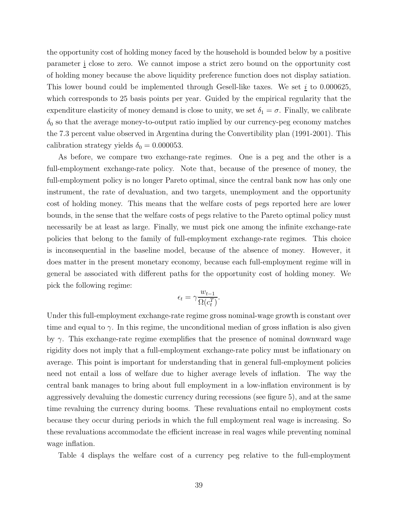the opportunity cost of holding money faced by the household is bounded below by a positive parameter i close to zero. We cannot impose a strict zero bound on the opportunity cost of holding money because the above liquidity preference function does not display satiation. This lower bound could be implemented through Gesell-like taxes. We set *i* to 0.000625, which corresponds to 25 basis points per year. Guided by the empirical regularity that the expenditure elasticity of money demand is close to unity, we set  $\delta_1 = \sigma$ . Finally, we calibrate  $\delta_0$  so that the average money-to-output ratio implied by our currency-peg economy matches the 7.3 percent value observed in Argentina during the Convertibility plan (1991-2001). This calibration strategy yields  $\delta_0 = 0.000053$ .

As before, we compare two exchange-rate regimes. One is a peg and the other is a full-employment exchange-rate policy. Note that, because of the presence of money, the full-employment policy is no longer Pareto optimal, since the central bank now has only one instrument, the rate of devaluation, and two targets, unemployment and the opportunity cost of holding money. This means that the welfare costs of pegs reported here are lower bounds, in the sense that the welfare costs of pegs relative to the Pareto optimal policy must necessarily be at least as large. Finally, we must pick one among the infinite exchange-rate policies that belong to the family of full-employment exchange-rate regimes. This choice is inconsequential in the baseline model, because of the absence of money. However, it does matter in the present monetary economy, because each full-employment regime will in general be associated with different paths for the opportunity cost of holding money. We pick the following regime:

$$
\epsilon_t = \gamma \frac{w_{t-1}}{\Omega(c_t^T)}.
$$

Under this full-employment exchange-rate regime gross nominal-wage growth is constant over time and equal to  $\gamma$ . In this regime, the unconditional median of gross inflation is also given by *γ*. This exchange-rate regime exemplifies that the presence of nominal downward wage rigidity does not imply that a full-employment exchange-rate policy must be inflationary on average. This point is important for understanding that in general full-employment policies need not entail a loss of welfare due to higher average levels of inflation. The way the central bank manages to bring about full employment in a low-inflation environment is by aggressively devaluing the domestic currency during recessions (see figure 5), and at the same time revaluing the currency during booms. These revaluations entail no employment costs because they occur during periods in which the full employment real wage is increasing. So these revaluations accommodate the efficient increase in real wages while preventing nominal wage inflation.

Table 4 displays the welfare cost of a currency peg relative to the full-employment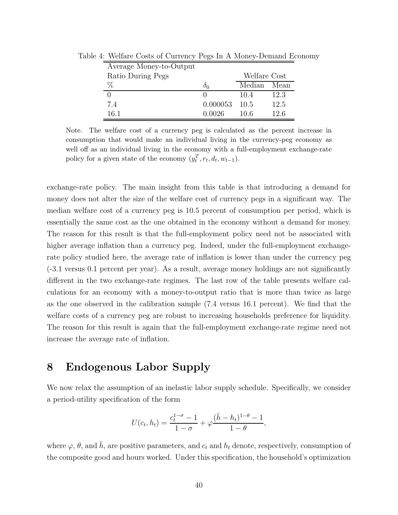| Average Money-to-Output |          |              |      |
|-------------------------|----------|--------------|------|
| Ratio During Pegs       |          | Welfare Cost |      |
| $\%$                    | Ô∩       | Median       | Mean |
|                         |          | 10.4         | 12.3 |
| 7.4                     | 0.000053 | 10.5         | 12.5 |
| 16.1                    | 0.0026   | 10.6         | 12.6 |

Table 4: Welfare Costs of Currency Pegs In A Money-Demand Economy

Note. The welfare cost of a currency peg is calculated as the percent increase in consumption that would make an individual living in the currency-peg economy as well off as an individual living in the economy with a full-employment exchange-rate policy for a given state of the economy  $(y_t^T, r_t, d_t, w_{t-1})$ .

exchange-rate policy. The main insight from this table is that introducing a demand for money does not alter the size of the welfare cost of currency pegs in a significant way. The median welfare cost of a currency peg is 10.5 percent of consumption per period, which is essentially the same cost as the one obtained in the economy without a demand for money. The reason for this result is that the full-employment policy need not be associated with higher average inflation than a currency peg. Indeed, under the full-employment exchangerate policy studied here, the average rate of inflation is lower than under the currency peg (-3.1 versus 0.1 percent per year). As a result, average money holdings are not significantly different in the two exchange-rate regimes. The last row of the table presents welfare calculations for an economy with a money-to-output ratio that is more than twice as large as the one observed in the calibration sample (7.4 versus 16.1 percent). We find that the welfare costs of a currency peg are robust to increasing households preference for liquidity. The reason for this result is again that the full-employment exchange-rate regime need not increase the average rate of inflation.

# **8 Endogenous Labor Supply**

We now relax the assumption of an inelastic labor supply schedule. Specifically, we consider a period-utility specification of the form

$$
U(c_t, h_t) = \frac{c_t^{1-\sigma} - 1}{1 - \sigma} + \varphi \frac{(\bar{h} - h_t)^{1-\theta} - 1}{1 - \theta},
$$

where  $\varphi$ ,  $\theta$ , and  $\bar{h}$ , are positive parameters, and  $c_t$  and  $h_t$  denote, respectively, consumption of the composite good and hours worked. Under this specification, the household's optimization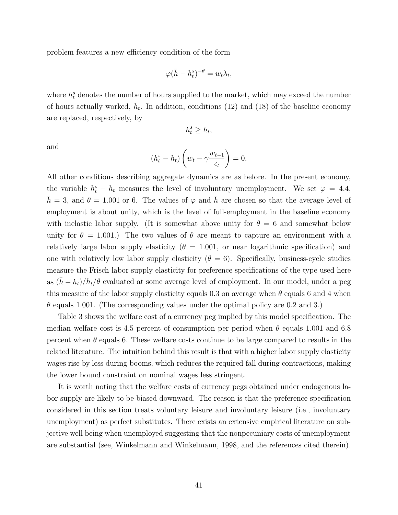problem features a new efficiency condition of the form

$$
\varphi(\bar{h} - h_t^s)^{-\theta} = w_t \lambda_t,
$$

where  $h_t^s$  denotes the number of hours supplied to the market, which may exceed the number of hours actually worked,  $h_t$ . In addition, conditions  $(12)$  and  $(18)$  of the baseline economy are replaced, respectively, by

$$
h_t^s \ge h_t,
$$

and

$$
(h_t^s - h_t) \left( w_t - \gamma \frac{w_{t-1}}{\epsilon_t} \right) = 0.
$$

All other conditions describing aggregate dynamics are as before. In the present economy, the variable  $h_t^s - h_t$  measures the level of involuntary unemployment. We set  $\varphi = 4.4$ ,  $\bar{h} = 3$ , and  $\theta = 1.001$  or 6. The values of  $\varphi$  and  $\bar{h}$  are chosen so that the average level of employment is about unity, which is the level of full-employment in the baseline economy with inelastic labor supply. (It is somewhat above unity for  $\theta = 6$  and somewhat below unity for  $\theta = 1.001$ .) The two values of  $\theta$  are meant to capture an environment with a relatively large labor supply elasticity ( $\theta = 1.001$ , or near logarithmic specification) and one with relatively low labor supply elasticity  $(\theta = 6)$ . Specifically, business-cycle studies measure the Frisch labor supply elasticity for preference specifications of the type used here as  $(\bar{h} - h_t)/h_t/\theta$  evaluated at some average level of employment. In our model, under a peg this measure of the labor supply elasticity equals 0.3 on average when  $\theta$  equals 6 and 4 when *θ* equals 1.001. (The corresponding values under the optimal policy are 0.2 and 3.)

Table 3 shows the welfare cost of a currency peg implied by this model specification. The median welfare cost is 4.5 percent of consumption per period when  $\theta$  equals 1.001 and 6.8 percent when  $\theta$  equals 6. These welfare costs continue to be large compared to results in the related literature. The intuition behind this result is that with a higher labor supply elasticity wages rise by less during booms, which reduces the required fall during contractions, making the lower bound constraint on nominal wages less stringent.

It is worth noting that the welfare costs of currency pegs obtained under endogenous labor supply are likely to be biased downward. The reason is that the preference specification considered in this section treats voluntary leisure and involuntary leisure (i.e., involuntary unemployment) as perfect substitutes. There exists an extensive empirical literature on subjective well being when unemployed suggesting that the nonpecuniary costs of unemployment are substantial (see, Winkelmann and Winkelmann, 1998, and the references cited therein).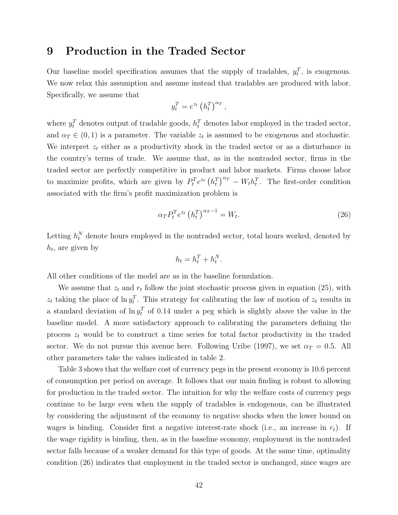### **9 Production in the Traded Sector**

Our baseline model specification assumes that the supply of tradables,  $y_t^T$ , is exogenous. We now relax this assumption and assume instead that tradables are produced with labor. Specifically, we assume that

$$
y_t^T = e^{z_t} \left( h_t^T \right)^{\alpha_T},
$$

where  $y_t^T$  denotes output of tradable goods,  $h_t^T$  denotes labor employed in the traded sector, and  $\alpha_T \in (0,1)$  is a parameter. The variable  $z_t$  is assumed to be exogenous and stochastic. We interpret  $z_t$  either as a productivity shock in the traded sector or as a disturbance in the country's terms of trade. We assume that, as in the nontraded sector, firms in the traded sector are perfectly competitive in product and labor markets. Firms choose labor to maximize profits, which are given by  $P_t^T e^{z_t} (h_t^T)^{\alpha_T} - W_t h_t^T$ . The first-order condition associated with the firm's profit maximization problem is

$$
\alpha_T P_t^T e^{z_t} \left( h_t^T \right)^{\alpha_T - 1} = W_t. \tag{26}
$$

Letting  $h_t^N$  denote hours employed in the nontraded sector, total hours worked, denoted by  $h_t$ , are given by

$$
h_t = h_t^T + h_t^N.
$$

All other conditions of the model are as in the baseline formulation.

We assume that  $z_t$  and  $r_t$  follow the joint stochastic process given in equation (25), with  $z_t$  taking the place of  $\ln y_t^T$ . This strategy for calibrating the law of motion of  $z_t$  results in a standard deviation of  $\ln y_t^T$  of 0.14 under a peg which is slightly above the value in the baseline model. A more satisfactory approach to calibrating the parameters defining the process  $z_t$  would be to construct a time series for total factor productivity in the traded sector. We do not pursue this avenue here. Following Uribe (1997), we set  $\alpha_T = 0.5$ . All other parameters take the values indicated in table 2.

Table 3 shows that the welfare cost of currency pegs in the present economy is 10.6 percent of consumption per period on average. It follows that our main finding is robust to allowing for production in the traded sector. The intuition for why the welfare costs of currency pegs continue to be large even when the supply of tradables is endogenous, can be illustrated by considering the adjustment of the economy to negative shocks when the lower bound on wages is binding. Consider first a negative interest-rate shock (i.e., an increase in  $r_t$ ). If the wage rigidity is binding, then, as in the baseline economy, employment in the nontraded sector falls because of a weaker demand for this type of goods. At the same time, optimality condition (26) indicates that employment in the traded sector is unchanged, since wages are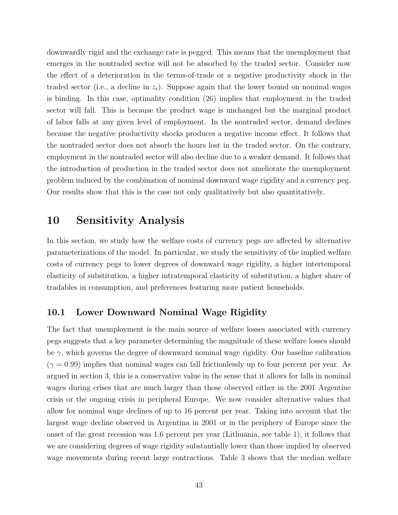downwardly rigid and the exchange rate is pegged. This means that the unemployment that emerges in the nontraded sector will not be absorbed by the traded sector. Consider now the effect of a deterioration in the terms-of-trade or a negative productivity shock in the traded sector (i.e., a decline in  $z_t$ ). Suppose again that the lower bound on nominal wages is binding. In this case, optimality condition (26) implies that employment in the traded sector will fall. This is because the product wage is unchanged but the marginal product of labor falls at any given level of employment. In the nontraded sector, demand declines because the negative productivity shocks produces a negative income effect. It follows that the nontraded sector does not absorb the hours lost in the traded sector. On the contrary, employment in the nontraded sector will also decline due to a weaker demand. It follows that the introduction of production in the traded sector does not ameliorate the unemployment problem induced by the combination of nominal downward wage rigidity and a currency peg. Our results show that this is the case not only qualitatively but also quantitatively.

### **10 Sensitivity Analysis**

In this section, we study how the welfare costs of currency pegs are affected by alternative parameterizations of the model. In particular, we study the sensitivity of the implied welfare costs of currency pegs to lower degrees of downward wage rigidity, a higher intertemporal elasticity of substitution, a higher intratemporal elasticity of substitution, a higher share of tradables in consumption, and preferences featuring more patient households.

### **10.1 Lower Downward Nominal Wage Rigidity**

The fact that unemployment is the main source of welfare losses associated with currency pegs suggests that a key parameter determining the magnitude of these welfare losses should be *γ*, which governs the degree of downward nominal wage rigidity. Our baseline calibration  $(\gamma = 0.99)$  implies that nominal wages can fall frictionlessly up to four percent per year. As argued in section 3, this is a conservative value in the sense that it allows for falls in nominal wages during crises that are much larger than those observed either in the 2001 Argentine crisis or the ongoing crisis in peripheral Europe. We now consider alternative values that allow for nominal wage declines of up to 16 percent per year. Taking into account that the largest wage decline observed in Argentina in 2001 or in the periphery of Europe since the onset of the great recession was 1.6 percent per year (Lithuania, see table 1), it follows that we are considering degrees of wage rigidity substantially lower than those implied by observed wage movements during recent large contractions. Table 3 shows that the median welfare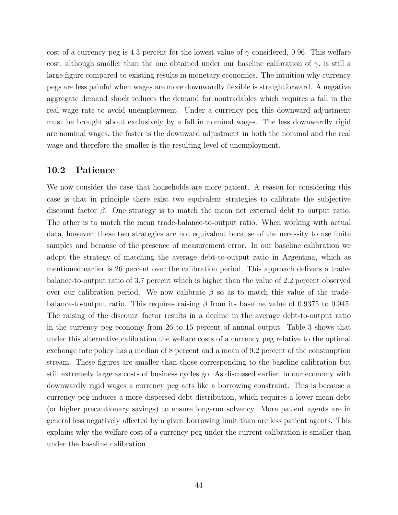cost of a currency peg is 4.3 percent for the lowest value of  $\gamma$  considered, 0.96. This welfare cost, although smaller than the one obtained under our baseline calibration of  $\gamma$ , is still a large figure compared to existing results in monetary economics. The intuition why currency pegs are less painful when wages are more downwardly flexible is straightforward. A negative aggregate demand shock reduces the demand for nontradables which requires a fall in the real wage rate to avoid unemployment. Under a currency peg this downward adjustment must be brought about exclusively by a fall in nominal wages. The less downwardly rigid are nominal wages, the faster is the downward adjustment in both the nominal and the real wage and therefore the smaller is the resulting level of unemployment.

#### **10.2 Patience**

We now consider the case that households are more patient. A reason for considering this case is that in principle there exist two equivalent strategies to calibrate the subjective discount factor *β*. One strategy is to match the mean net external debt to output ratio. The other is to match the mean trade-balance-to-output ratio. When working with actual data, however, these two strategies are not equivalent because of the necessity to use finite samples and because of the presence of measurement error. In our baseline calibration we adopt the strategy of matching the average debt-to-output ratio in Argentina, which as mentioned earlier is 26 percent over the calibration period. This approach delivers a tradebalance-to-output ratio of 3.7 percent which is higher than the value of 2.2 percent observed over our calibration period. We now calibrate  $\beta$  so as to match this value of the tradebalance-to-output ratio. This requires raising *β* from its baseline value of 0.9375 to 0.945. The raising of the discount factor results in a decline in the average debt-to-output ratio in the currency peg economy from 26 to 15 percent of annual output. Table 3 shows that under this alternative calibration the welfare costs of a currency peg relative to the optimal exchange rate policy has a median of 8 percent and a mean of 9.2 percent of the consumption stream. These figures are smaller than those corresponding to the baseline calibration but still extremely large as costs of business cycles go. As discussed earlier, in our economy with downwardly rigid wages a currency peg acts like a borrowing constraint. This is because a currency peg induces a more dispersed debt distribution, which requires a lower mean debt (or higher precautionary savings) to ensure long-run solvency. More patient agents are in general less negatively affected by a given borrowing limit than are less patient agents. This explains why the welfare cost of a currency peg under the current calibration is smaller than under the baseline calibration.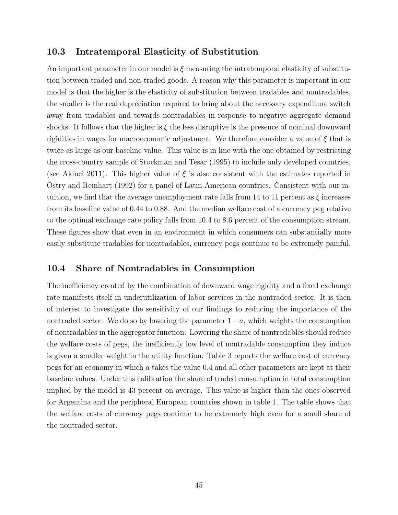### **10.3 Intratemporal Elasticity of Substitution**

An important parameter in our model is *ξ* measuring the intratemporal elasticity of substitution between traded and non-traded goods. A reason why this parameter is important in our model is that the higher is the elasticity of substitution between tradables and nontradables, the smaller is the real depreciation required to bring about the necessary expenditure switch away from tradables and towards nontradables in response to negative aggregate demand shocks. It follows that the higher is  $\xi$  the less disruptive is the presence of nominal downward rigidities in wages for macroeconomic adjustment. We therefore consider a value of *ξ* that is twice as large as our baseline value. This value is in line with the one obtained by restricting the cross-country sample of Stockman and Tesar (1995) to include only developed countries, (see Akinci 2011). This higher value of  $\xi$  is also consistent with the estimates reported in Ostry and Reinhart (1992) for a panel of Latin American countries. Consistent with our intuition, we find that the average unemployment rate falls from 14 to 11 percent as *ξ* increases from its baseline value of 0.44 to 0.88. And the median welfare cost of a currency peg relative to the optimal exchange rate policy falls from 10.4 to 8.6 percent of the consumption stream. These figures show that even in an environment in which consumers can substantially more easily substitute tradables for nontradables, currency pegs continue to be extremely painful.

### **10.4 Share of Nontradables in Consumption**

The inefficiency created by the combination of downward wage rigidity and a fixed exchange rate manifests itself in underutilization of labor services in the nontraded sector. It is then of interest to investigate the sensitivity of our findings to reducing the importance of the nontraded sector. We do so by lowering the parameter 1−*a*, which weights the consumption of nontradables in the aggregator function. Lowering the share of nontradables should reduce the welfare costs of pegs, the inefficiently low level of nontradable consumption they induce is given a smaller weight in the utility function. Table 3 reports the welfare cost of currency pegs for an economy in which *a* takes the value 0.4 and all other parameters are kept at their baseline values. Under this calibration the share of traded consumption in total consumption implied by the model is 43 percent on average. This value is higher than the ones observed for Argentina and the peripheral European countries shown in table 1. The table shows that the welfare costs of currency pegs continue to be extremely high even for a small share of the nontraded sector.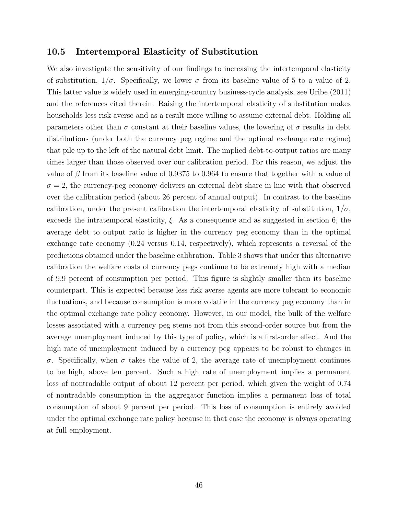### **10.5 Intertemporal Elasticity of Substitution**

We also investigate the sensitivity of our findings to increasing the intertemporal elasticity of substitution,  $1/\sigma$ . Specifically, we lower  $\sigma$  from its baseline value of 5 to a value of 2. This latter value is widely used in emerging-country business-cycle analysis, see Uribe (2011) and the references cited therein. Raising the intertemporal elasticity of substitution makes households less risk averse and as a result more willing to assume external debt. Holding all parameters other than  $\sigma$  constant at their baseline values, the lowering of  $\sigma$  results in debt distributions (under both the currency peg regime and the optimal exchange rate regime) that pile up to the left of the natural debt limit. The implied debt-to-output ratios are many times larger than those observed over our calibration period. For this reason, we adjust the value of *β* from its baseline value of 0.9375 to 0.964 to ensure that together with a value of  $\sigma = 2$ , the currency-peg economy delivers an external debt share in line with that observed over the calibration period (about 26 percent of annual output). In contrast to the baseline calibration, under the present calibration the intertemporal elasticity of substitution,  $1/\sigma$ , exceeds the intratemporal elasticity, *ξ*. As a consequence and as suggested in section 6, the average debt to output ratio is higher in the currency peg economy than in the optimal exchange rate economy (0.24 versus 0.14, respectively), which represents a reversal of the predictions obtained under the baseline calibration. Table 3 shows that under this alternative calibration the welfare costs of currency pegs continue to be extremely high with a median of 9.9 percent of consumption per period. This figure is slightly smaller than its baseline counterpart. This is expected because less risk averse agents are more tolerant to economic fluctuations, and because consumption is more volatile in the currency peg economy than in the optimal exchange rate policy economy. However, in our model, the bulk of the welfare losses associated with a currency peg stems not from this second-order source but from the average unemployment induced by this type of policy, which is a first-order effect. And the high rate of unemployment induced by a currency peg appears to be robust to changes in *σ*. Specifically, when *σ* takes the value of 2, the average rate of unemployment continues to be high, above ten percent. Such a high rate of unemployment implies a permanent loss of nontradable output of about 12 percent per period, which given the weight of 0.74 of nontradable consumption in the aggregator function implies a permanent loss of total consumption of about 9 percent per period. This loss of consumption is entirely avoided under the optimal exchange rate policy because in that case the economy is always operating at full employment.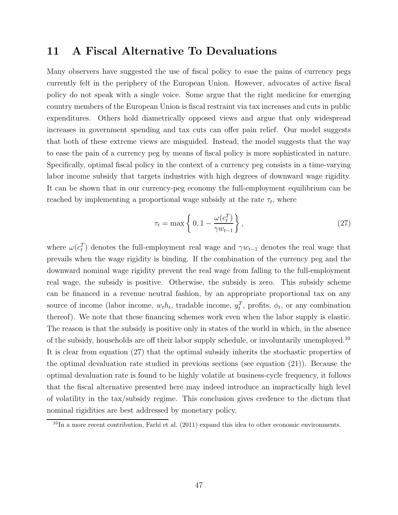# **11 A Fiscal Alternative To Devaluations**

Many observers have suggested the use of fiscal policy to ease the pains of currency pegs currently felt in the periphery of the European Union. However, advocates of active fiscal policy do not speak with a single voice. Some argue that the right medicine for emerging country members of the European Union is fiscal restraint via tax increases and cuts in public expenditures. Others hold diametrically opposed views and argue that only widespread increases in government spending and tax cuts can offer pain relief. Our model suggests that both of these extreme views are misguided. Instead, the model suggests that the way to ease the pain of a currency peg by means of fiscal policy is more sophisticated in nature. Specifically, optimal fiscal policy in the context of a currency peg consists in a time-varying labor income subsidy that targets industries with high degrees of downward wage rigidity. It can be shown that in our currency-peg economy the full-employment equilibrium can be reached by implementing a proportional wage subsidy at the rate  $\tau_t$ , where

$$
\tau_t = \max\left\{0, 1 - \frac{\omega(c_t^T)}{\gamma w_{t-1}}\right\},\tag{27}
$$

where  $\omega(c_t^T)$  denotes the full-employment real wage and  $\gamma w_{t-1}$  denotes the real wage that prevails when the wage rigidity is binding. If the combination of the currency peg and the downward nominal wage rigidity prevent the real wage from falling to the full-employment real wage, the subsidy is positive. Otherwise, the subsidy is zero. This subsidy scheme can be financed in a revenue neutral fashion, by an appropriate proportional tax on any source of income (labor income,  $w_t h_t$ , tradable income,  $y_t^T$ , profits,  $\phi_t$ , or any combination thereof). We note that these financing schemes work even when the labor supply is elastic. The reason is that the subsidy is positive only in states of the world in which, in the absence of the subsidy, households are off their labor supply schedule, or involuntarily unemployed.<sup>10</sup> It is clear from equation (27) that the optimal subsidy inherits the stochastic properties of the optimal devaluation rate studied in previous sections (see equation (21)). Because the optimal devaluation rate is found to be highly volatile at business-cycle frequency, it follows that the fiscal alternative presented here may indeed introduce an impractically high level of volatility in the tax/subsidy regime. This conclusion gives credence to the dictum that nominal rigidities are best addressed by monetary policy.

 $10$ In a more recent contribution, Farhi et al. (2011) expand this idea to other economic environments.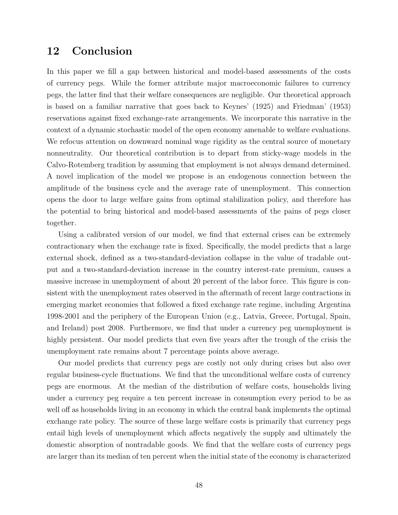# **12 Conclusion**

In this paper we fill a gap between historical and model-based assessments of the costs of currency pegs. While the former attribute major macroeconomic failures to currency pegs, the latter find that their welfare consequences are negligible. Our theoretical approach is based on a familiar narrative that goes back to Keynes' (1925) and Friedman' (1953) reservations against fixed exchange-rate arrangements. We incorporate this narrative in the context of a dynamic stochastic model of the open economy amenable to welfare evaluations. We refocus attention on downward nominal wage rigidity as the central source of monetary nonneutrality. Our theoretical contribution is to depart from sticky-wage models in the Calvo-Rotemberg tradition by assuming that employment is not always demand determined. A novel implication of the model we propose is an endogenous connection between the amplitude of the business cycle and the average rate of unemployment. This connection opens the door to large welfare gains from optimal stabilization policy, and therefore has the potential to bring historical and model-based assessments of the pains of pegs closer together.

Using a calibrated version of our model, we find that external crises can be extremely contractionary when the exchange rate is fixed. Specifically, the model predicts that a large external shock, defined as a two-standard-deviation collapse in the value of tradable output and a two-standard-deviation increase in the country interest-rate premium, causes a massive increase in unemployment of about 20 percent of the labor force. This figure is consistent with the unemployment rates observed in the aftermath of recent large contractions in emerging market economies that followed a fixed exchange rate regime, including Argentina 1998-2001 and the periphery of the European Union (e.g., Latvia, Greece, Portugal, Spain, and Ireland) post 2008. Furthermore, we find that under a currency peg unemployment is highly persistent. Our model predicts that even five years after the trough of the crisis the unemployment rate remains about 7 percentage points above average.

Our model predicts that currency pegs are costly not only during crises but also over regular business-cycle fluctuations. We find that the unconditional welfare costs of currency pegs are enormous. At the median of the distribution of welfare costs, households living under a currency peg require a ten percent increase in consumption every period to be as well off as households living in an economy in which the central bank implements the optimal exchange rate policy. The source of these large welfare costs is primarily that currency pegs entail high levels of unemployment which affects negatively the supply and ultimately the domestic absorption of nontradable goods. We find that the welfare costs of currency pegs are larger than its median of ten percent when the initial state of the economy is characterized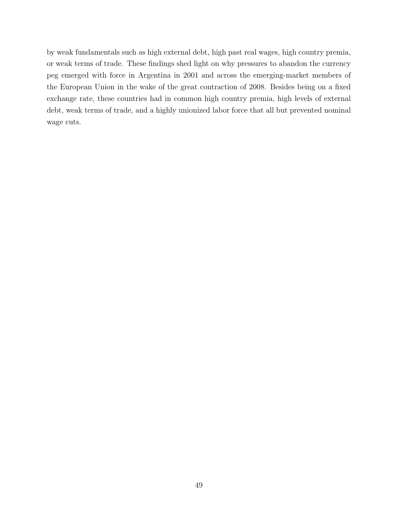by weak fundamentals such as high external debt, high past real wages, high country premia, or weak terms of trade. These findings shed light on why pressures to abandon the currency peg emerged with force in Argentina in 2001 and across the emerging-market members of the European Union in the wake of the great contraction of 2008. Besides being on a fixed exchange rate, these countries had in common high country premia, high levels of external debt, weak terms of trade, and a highly unionized labor force that all but prevented nominal wage cuts.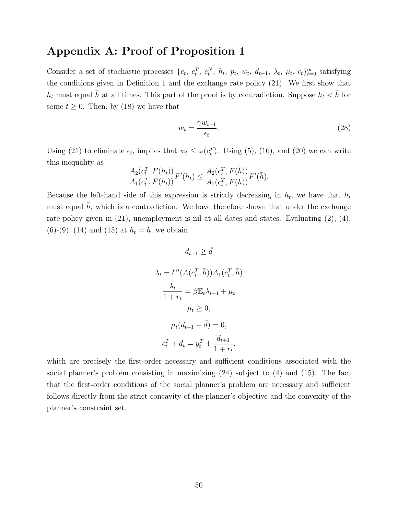# **Appendix A: Proof of Proposition 1**

Consider a set of stochastic processes  $\{c_t, c_t^T, c_t^N, h_t, p_t, w_t, d_{t+1}, \lambda_t, \mu_t, \epsilon_t\}_{t=0}^{\infty}$  satisfying the conditions given in Definition 1 and the exchange rate policy (21). We first show that *h*<sub>t</sub> must equal  $\bar{h}$  at all times. This part of the proof is by contradiction. Suppose  $h_t < \bar{h}$  for some  $t \geq 0$ . Then, by (18) we have that

$$
w_t = \frac{\gamma w_{t-1}}{\epsilon_t}.\tag{28}
$$

Using (21) to eliminate  $\epsilon_t$ , implies that  $w_t \leq \omega(c_t^T)$ . Using (5), (16), and (20) we can write this inequality as

$$
\frac{A_2(c_t^T, F(h_t))}{A_1(c_t^T, F(h_t))} F'(h_t) \le \frac{A_2(c_t^T, F(\bar{h}))}{A_1(c_t^T, F(\bar{h}))} F'(\bar{h}).
$$

Because the left-hand side of this expression is strictly decreasing in  $h_t$ , we have that  $h_t$ must equal  $h$ , which is a contradiction. We have therefore shown that under the exchange rate policy given in (21), unemployment is nil at all dates and states. Evaluating (2), (4),  $(6)-(9)$ ,  $(14)$  and  $(15)$  at  $h_t = \bar{h}$ , we obtain

$$
d_{t+1} \geq \bar{d}
$$

$$
\lambda_t = U'(A(c_t^T, \bar{h}))A_1(c_t^T, \bar{h})
$$

$$
\frac{\lambda_t}{1 + r_t} = \beta \mathbb{E}_t \lambda_{t+1} + \mu_t
$$

$$
\mu_t \geq 0,
$$

$$
\mu_t(d_{t+1} - \bar{d}) = 0,
$$

$$
c_t^T + d_t = y_t^T + \frac{d_{t+1}}{1 + r_t},
$$

which are precisely the first-order necessary and sufficient conditions associated with the social planner's problem consisting in maximizing (24) subject to (4) and (15). The fact that the first-order conditions of the social planner's problem are necessary and sufficient follows directly from the strict concavity of the planner's objective and the convexity of the planner's constraint set.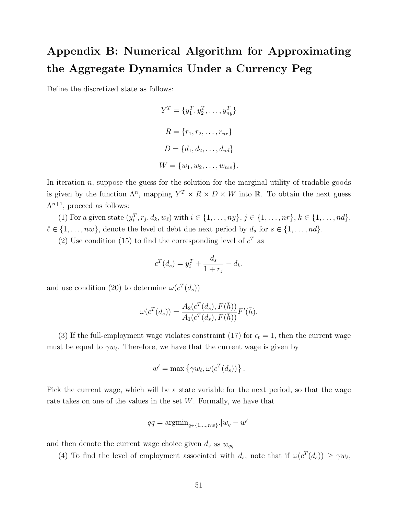# **Appendix B: Numerical Algorithm for Approximating the Aggregate Dynamics Under a Currency Peg**

Define the discretized state as follows:

$$
Y^T = \{y_1^T, y_2^T, \dots, y_{ny}^T\}
$$

$$
R = \{r_1, r_2, \dots, r_{nr}\}
$$

$$
D = \{d_1, d_2, \dots, d_{nd}\}
$$

$$
W = \{w_1, w_2, \dots, w_{nw}\}.
$$

In iteration  $n$ , suppose the guess for the solution for the marginal utility of tradable goods is given by the function  $\Lambda^n$ , mapping  $Y^T \times R \times D \times W$  into R. To obtain the next guess  $\Lambda^{n+1}$ , proceed as follows:

(1) For a given state  $(y_i^T, r_j, d_k, w_\ell)$  with  $i \in \{1, ..., ny\}, j \in \{1, ..., nr\}, k \in \{1, ..., nd\},$  $\ell \in \{1, \ldots, nw\}$ , denote the level of debt due next period by  $d_s$  for  $s \in \{1, \ldots, nd\}$ .

(2) Use condition (15) to find the corresponding level of  $c^T$  as

$$
c^{T}(d_{s}) = y_{i}^{T} + \frac{d_{s}}{1+r_{j}} - d_{k}.
$$

and use condition (20) to determine  $\omega(c^T(d_s))$ 

$$
\omega(c^{T}(d_s)) = \frac{A_2(c^{T}(d_s), F(\bar{h}))}{A_1(c^{T}(d_s), F(\bar{h}))}F'(\bar{h}).
$$

(3) If the full-employment wage violates constraint (17) for  $\epsilon_t = 1$ , then the current wage must be equal to  $\gamma w_{\ell}$ . Therefore, we have that the current wage is given by

$$
w' = \max \{ \gamma w_{\ell}, \omega(c^T(d_s)) \}.
$$

Pick the current wage, which will be a state variable for the next period, so that the wage rate takes on one of the values in the set *W*. Formally, we have that

$$
qq = \operatorname{argmin}_{q \in \{1, \dots, nw\}} |w_q - w'|
$$

and then denote the current wage choice given  $d_s$  as  $w_{qq}$ .

(4) To find the level of employment associated with  $d_s$ , note that if  $\omega(c^T(d_s)) \geq \gamma w_{\ell}$ ,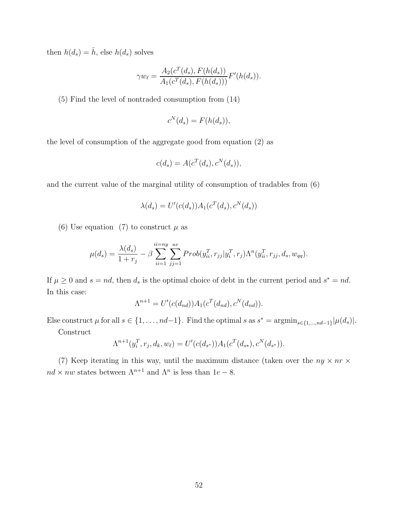then  $h(d_s) = \bar{h}$ , else  $h(d_s)$  solves

$$
\gamma w_{\ell} = \frac{A_2(c^T(d_s), F(h(d_s)))}{A_1(c^T(d_s), F(h(d_s)))} F'(h(d_s)).
$$

(5) Find the level of nontraded consumption from (14)

$$
c^N(d_s) = F(h(d_s)),
$$

the level of consumption of the aggregate good from equation (2) as

$$
c(d_s) = A(c^T(d_s), c^N(d_s)),
$$

and the current value of the marginal utility of consumption of tradables from (6)

$$
\lambda(d_s) = U'(c(d_s))A_1(c^T(d_s), c^N(d_s))
$$

(6) Use equation (7) to construct  $\mu$  as

$$
\mu(d_s) = \frac{\lambda(d_s)}{1+r_j} - \beta \sum_{ii=1}^{ii=ny} \sum_{jj=1}^{nr} Prob(y_{ii}^T, r_{jj} | y_i^T, r_j) \Lambda^n(y_{ii}^T, r_{jj}, d_s, w_{qq}).
$$

If  $\mu \geq 0$  and  $s = nd$ , then  $d_s$  is the optimal choice of debt in the current period and  $s^* = nd$ . In this case:

$$
\Lambda^{n+1} = U'(c(d_{nd}))A_1(c^T(d_{nd}), c^N(d_{nd})).
$$

Else construct  $\mu$  for all  $s \in \{1, ..., nd-1\}$ . Find the optimal  $s$  as  $s^* = \operatorname{argmin}_{s \in \{1, ..., nd-1\}} |\mu(d_s)|$ .

Construct

$$
\Lambda^{n+1}(y_i^T, r_j, d_k, w_\ell) = U'(c(d_{s^*})) A_1(c^T(d_{s^*}), c^N(d_{s^*})).
$$

(7) Keep iterating in this way, until the maximum distance (taken over the  $ny \times nr \times$ *nd* × *nw* states between  $\Lambda^{n+1}$  and  $\Lambda^n$  is less than 1*e* − 8.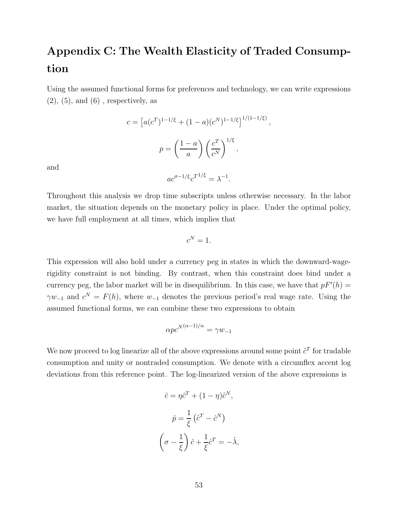# **Appendix C: The Wealth Elasticity of Traded Consumption**

Using the assumed functional forms for preferences and technology, we can write expressions  $(2)$ ,  $(5)$ , and  $(6)$ , respectively, as

$$
c = [a(c^T)^{1-1/\xi} + (1-a)(c^N)^{1-1/\xi}]^{1/(1-1/\xi)},
$$

$$
p = \left(\frac{1-a}{a}\right) \left(\frac{c^T}{c^N}\right)^{1/\xi},
$$

and

$$
ac^{\sigma - 1/\xi}c^{T^{1/\xi}} = \lambda^{-1}.
$$

Throughout this analysis we drop time subscripts unless otherwise necessary. In the labor market, the situation depends on the monetary policy in place. Under the optimal policy, we have full employment at all times, which implies that

$$
c^N=1.
$$

This expression will also hold under a currency peg in states in which the downward-wagerigidity constraint is not binding. By contrast, when this constraint does bind under a currency peg, the labor market will be in disequilibrium. In this case, we have that  $pF'(h) =$  $\gamma w_{-1}$  and  $c^N = F(h)$ , where  $w_{-1}$  denotes the previous period's real wage rate. Using the assumed functional forms, we can combine these two expressions to obtain

$$
\alpha p c^{N(\alpha-1)/\alpha} = \gamma w_{-1}
$$

We now proceed to log linearize all of the above expressions around some point  $\tilde{c}^T$  for tradable consumption and unity or nontraded consumption. We denote with a circumflex accent log deviations from this reference point. The log-linearized version of the above expressions is

$$
\hat{c} = \eta \hat{c}^T + (1 - \eta)\hat{c}^N,
$$

$$
\hat{p} = \frac{1}{\xi} (\hat{c}^T - \hat{c}^N)
$$

$$
\left(\sigma - \frac{1}{\xi}\right)\hat{c} + \frac{1}{\xi}\hat{c}^T = -\hat{\lambda},
$$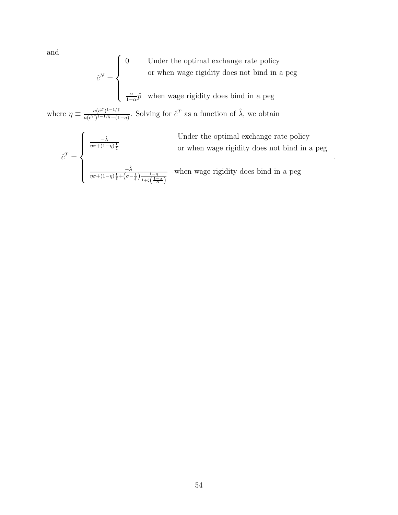and

$$
\hat{c}^N = \begin{cases} 0 & \text{Under the optimal exchange rate policy} \\ & \text{or when wage rigidity does not bind in a peg} \\ & \frac{\alpha}{1-\alpha}\hat{p} \text{ when wage rigidity does bind in a peg} \end{cases}
$$

where  $\eta \equiv \frac{a(\tilde{c}^T)^{1-1/\xi}}{a(\tilde{c}^T)^{1-1/\xi}+(1-a)}$ . Solving for  $\tilde{c}^T$  as a function of  $\hat{\lambda}$ , we obtain

$$
\hat{c}^{T} = \begin{cases}\n\frac{-\hat{\lambda}}{\eta \sigma + (1-\eta)\frac{1}{\xi}} & \text{if } \\
\frac{-\hat{\lambda}}{\eta \sigma + (1-\eta)\frac{1}{\xi} + (\sigma - \frac{1}{\xi})\frac{1-\eta}{1+\xi\left(\frac{1-\alpha}{\alpha}\right)}} & \text{if } \\
\frac{-\hat{\lambda}}{\eta \sigma + (1-\eta)\frac{1}{\xi} + (\sigma - \frac{1}{\xi})\frac{1-\eta}{1+\xi\left(\frac{1-\alpha}{\alpha}\right)}} & \text{if } \\
\end{cases}
$$

Under the optimal exchange rate policy or when wage rigidity does not bind in a peg

*.*

when wage rigidity does bind in a peg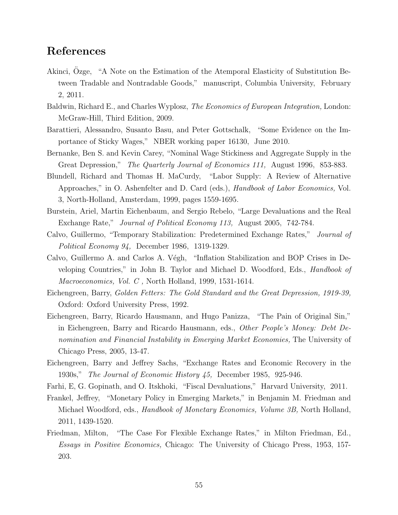### **References**

- Akinci, Ozge, "A Note on the Estimation of the Atemporal Elasticity of Substitution Between Tradable and Nontradable Goods," manuscript, Columbia University, February 2, 2011.
- Baldwin, Richard E., and Charles Wyplosz, *The Economics of European Integration,* London: McGraw-Hill, Third Edition, 2009.
- Barattieri, Alessandro, Susanto Basu, and Peter Gottschalk, "Some Evidence on the Importance of Sticky Wages," NBER working paper 16130, June 2010.
- Bernanke, Ben S. and Kevin Carey, "Nominal Wage Stickiness and Aggregate Supply in the Great Depression," *The Quarterly Journal of Economics 111,* August 1996, 853-883.
- Blundell, Richard and Thomas H. MaCurdy, "Labor Supply: A Review of Alternative Approaches," in O. Ashenfelter and D. Card (eds.), *Handbook of Labor Economics,* Vol. 3, North-Holland, Amsterdam, 1999, pages 1559-1695.
- Burstein, Ariel, Martin Eichenbaum, and Sergio Rebelo, "Large Devaluations and the Real Exchange Rate," *Journal of Political Economy 113,* August 2005, 742-784.
- Calvo, Guillermo, "Temporary Stabilization: Predetermined Exchange Rates," *Journal of Political Economy 94,* December 1986, 1319-1329.
- Calvo, Guillermo A. and Carlos A. Végh, "Inflation Stabilization and BOP Crises in Developing Countries," in John B. Taylor and Michael D. Woodford, Eds., *Handbook of Macroeconomics, Vol. C ,* North Holland, 1999, 1531-1614.
- Eichengreen, Barry, *Golden Fetters: The Gold Standard and the Great Depression, 1919-39,* Oxford: Oxford University Press, 1992.
- Eichengreen, Barry, Ricardo Hausmann, and Hugo Panizza, "The Pain of Original Sin," in Eichengreen, Barry and Ricardo Hausmann, eds., *Other People's Money: Debt Denomination and Financial Instability in Emerging Market Economies,* The University of Chicago Press, 2005, 13-47.
- Eichengreen, Barry and Jeffrey Sachs, "Exchange Rates and Economic Recovery in the 1930s," *The Journal of Economic History 45,* December 1985, 925-946.
- Farhi, E, G. Gopinath, and O. Itskhoki, "Fiscal Devaluations," Harvard University, 2011.
- Frankel, Jeffrey, "Monetary Policy in Emerging Markets," in Benjamin M. Friedman and Michael Woodford, eds., *Handbook of Monetary Economics, Volume 3B,* North Holland, 2011, 1439-1520.
- Friedman, Milton, "The Case For Flexible Exchange Rates," in Milton Friedman, Ed., *Essays in Positive Economics,* Chicago: The University of Chicago Press, 1953, 157- 203.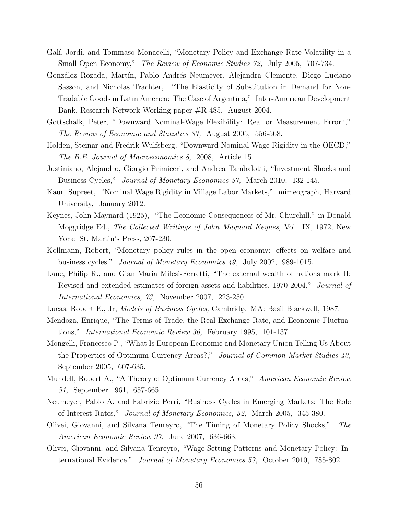- Galí, Jordi, and Tommaso Monacelli, "Monetary Policy and Exchange Rate Volatility in a Small Open Economy," *The Review of Economic Studies 72,* July 2005, 707-734.
- González Rozada, Martín, Pablo Andrés Neumeyer, Alejandra Clemente, Diego Luciano Sasson, and Nicholas Trachter, "The Elasticity of Substitution in Demand for Non-Tradable Goods in Latin America: The Case of Argentina," Inter-American Development Bank, Research Network Working paper #R-485, August 2004.
- Gottschalk, Peter, "Downward Nominal-Wage Flexibility: Real or Measurement Error?," *The Review of Economic and Statistics 87,* August 2005, 556-568.
- Holden, Steinar and Fredrik Wulfsberg, "Downward Nominal Wage Rigidity in the OECD," *The B.E. Journal of Macroeconomics 8,* 2008, Article 15.
- Justiniano, Alejandro, Giorgio Primiceri, and Andrea Tambalotti, "Investment Shocks and Business Cycles," *Journal of Monetary Economics 57,* March 2010, 132-145.
- Kaur, Supreet, "Nominal Wage Rigidity in Village Labor Markets," mimeograph, Harvard University, January 2012.
- Keynes, John Maynard (1925), "The Economic Consequences of Mr. Churchill," in Donald Moggridge Ed., *The Collected Writings of John Maynard Keynes,* Vol. IX, 1972, New York: St. Martin's Press, 207-230.
- Kollmann, Robert, "Monetary policy rules in the open economy: effects on welfare and business cycles," *Journal of Monetary Economics 49,* July 2002, 989-1015.
- Lane, Philip R., and Gian Maria Milesi-Ferretti, "The external wealth of nations mark II: Revised and extended estimates of foreign assets and liabilities, 1970-2004," *Journal of International Economics, 73,* November 2007, 223-250.
- Lucas, Robert E., Jr, *Models of Business Cycles,* Cambridge MA: Basil Blackwell, 1987.
- Mendoza, Enrique, "The Terms of Trade, the Real Exchange Rate, and Economic Fluctuations," *International Economic Review 36,* February 1995, 101-137.
- Mongelli, Francesco P., "What Is European Economic and Monetary Union Telling Us About the Properties of Optimum Currency Areas?," *Journal of Common Market Studies 43,* September 2005, 607-635.
- Mundell, Robert A., "A Theory of Optimum Currency Areas," *American Economic Review 51,* September 1961, 657-665.
- Neumeyer, Pablo A. and Fabrizio Perri, "Business Cycles in Emerging Markets: The Role of Interest Rates," *Journal of Monetary Economics, 52,* March 2005, 345-380.
- Olivei, Giovanni, and Silvana Tenreyro, "The Timing of Monetary Policy Shocks," *The American Economic Review 97,* June 2007, 636-663.
- Olivei, Giovanni, and Silvana Tenreyro, "Wage-Setting Patterns and Monetary Policy: International Evidence," *Journal of Monetary Economics 57,* October 2010, 785-802.